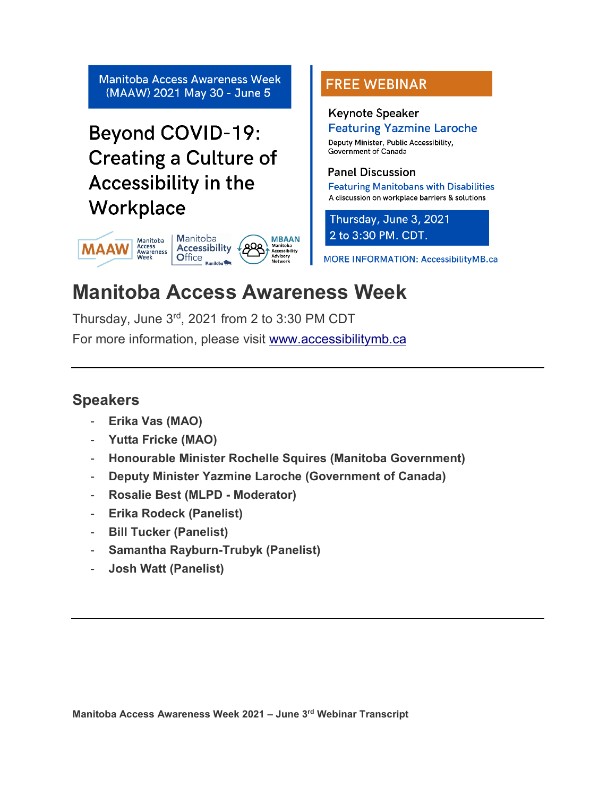**Manitoba Access Awareness Week** (MAAW) 2021 May 30 - June 5

# **Beyond COVID-19: Creating a Culture of** Accessibility in the Workplace



# **FREE WEBINAR**

# **Keynote Speaker Featuring Yazmine Laroche**

Deputy Minister, Public Accessibility, Government of Canada

# **Panel Discussion**

**Featuring Manitobans with Disabilities** A discussion on workplace barriers & solutions

Thursday, June 3, 2021 2 to 3:30 PM. CDT.

**MORE INFORMATION: AccessibilityMB.ca** 

# **Manitoba Access Awareness Week**

Thursday, June 3rd, 2021 from 2 to 3:30 PM CDT

For more information, please visit [www.accessibilitymb.ca](http://www.accessibilitymb.ca/)

# **Speakers**

- **Erika Vas (MAO)**
- **Yutta Fricke (MAO)**
- **Honourable Minister Rochelle Squires (Manitoba Government)**
- **Deputy Minister Yazmine Laroche (Government of Canada)**
- **Rosalie Best (MLPD - Moderator)**
- **Erika Rodeck (Panelist)**
- **Bill Tucker (Panelist)**
- **Samantha Rayburn-Trubyk (Panelist)**
- **Josh Watt (Panelist)**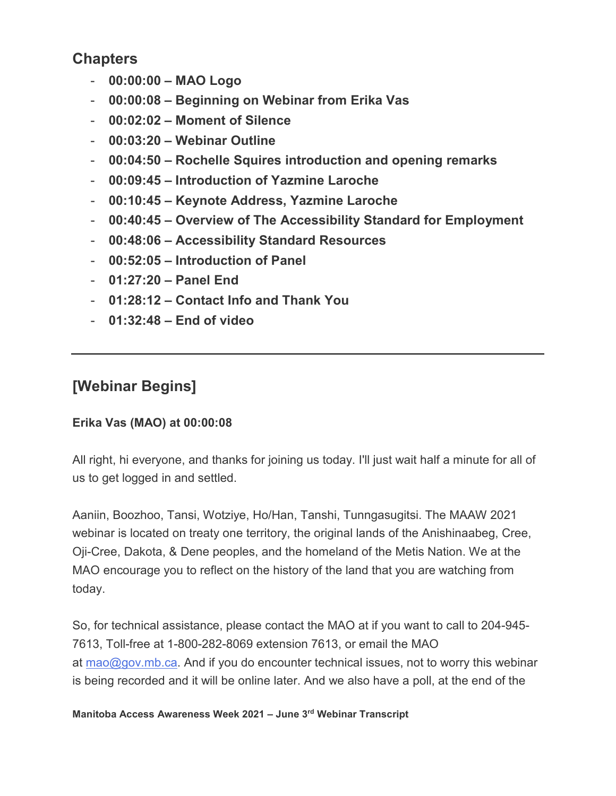# **Chapters**

- **00:00:00 – MAO Logo**
- **00:00:08 – Beginning on Webinar from Erika Vas**
- **00:02:02 – Moment of Silence**
- **00:03:20 – Webinar Outline**
- **00:04:50 – Rochelle Squires introduction and opening remarks**
- **00:09:45 – Introduction of Yazmine Laroche**
- **00:10:45 – Keynote Address, Yazmine Laroche**
- **00:40:45 – Overview of The Accessibility Standard for Employment**
- **00:48:06 – Accessibility Standard Resources**
- **00:52:05 – Introduction of Panel**
- **01:27:20 – Panel End**
- **01:28:12 – Contact Info and Thank You**
- **01:32:48 – End of video**

# **[Webinar Begins]**

# **Erika Vas (MAO) at 00:00:08**

All right, hi everyone, and thanks for joining us today. I'll just wait half a minute for all of us to get logged in and settled.

Aaniin, Boozhoo, Tansi, Wotziye, Ho/Han, Tanshi, Tunngasugitsi. The MAAW 2021 webinar is located on treaty one territory, the original lands of the Anishinaabeg, Cree, Oji-Cree, Dakota, & Dene peoples, and the homeland of the Metis Nation. We at the MAO encourage you to reflect on the history of the land that you are watching from today.

So, for technical assistance, please contact the MAO at if you want to call to 204-945- 7613, Toll-free at 1-800-282-8069 extension 7613, or email the MAO at  $mao@gov.mb.ca.$  And if you do encounter technical issues, not to worry this webinar is being recorded and it will be online later. And we also have a poll, at the end of the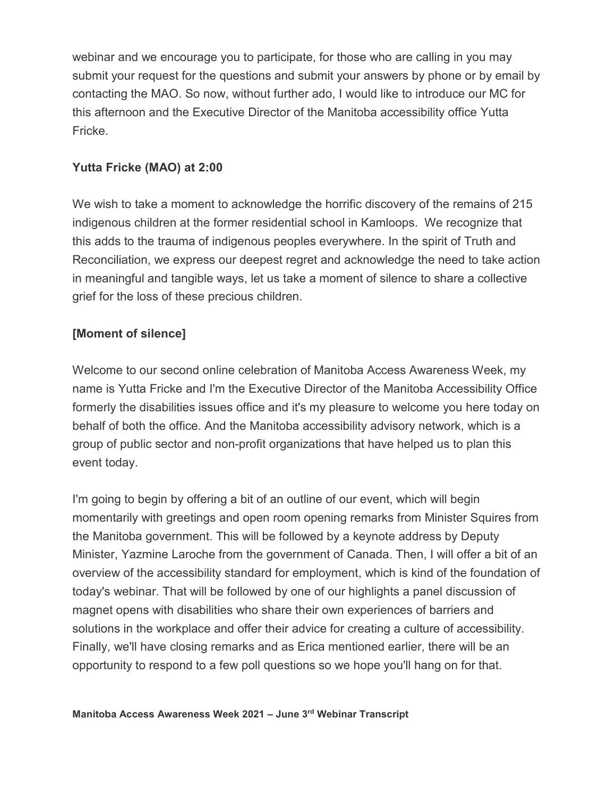webinar and we encourage you to participate, for those who are calling in you may submit your request for the questions and submit your answers by phone or by email by contacting the MAO. So now, without further ado, I would like to introduce our MC for this afternoon and the Executive Director of the Manitoba accessibility office Yutta Fricke.

## **Yutta Fricke (MAO) at 2:00**

We wish to take a moment to acknowledge the horrific discovery of the remains of 215 indigenous children at the former residential school in Kamloops. We recognize that this adds to the trauma of indigenous peoples everywhere. In the spirit of Truth and Reconciliation, we express our deepest regret and acknowledge the need to take action in meaningful and tangible ways, let us take a moment of silence to share a collective grief for the loss of these precious children.

## **[Moment of silence]**

Welcome to our second online celebration of Manitoba Access Awareness Week, my name is Yutta Fricke and I'm the Executive Director of the Manitoba Accessibility Office formerly the disabilities issues office and it's my pleasure to welcome you here today on behalf of both the office. And the Manitoba accessibility advisory network, which is a group of public sector and non-profit organizations that have helped us to plan this event today.

I'm going to begin by offering a bit of an outline of our event, which will begin momentarily with greetings and open room opening remarks from Minister Squires from the Manitoba government. This will be followed by a keynote address by Deputy Minister, Yazmine Laroche from the government of Canada. Then, I will offer a bit of an overview of the accessibility standard for employment, which is kind of the foundation of today's webinar. That will be followed by one of our highlights a panel discussion of magnet opens with disabilities who share their own experiences of barriers and solutions in the workplace and offer their advice for creating a culture of accessibility. Finally, we'll have closing remarks and as Erica mentioned earlier, there will be an opportunity to respond to a few poll questions so we hope you'll hang on for that.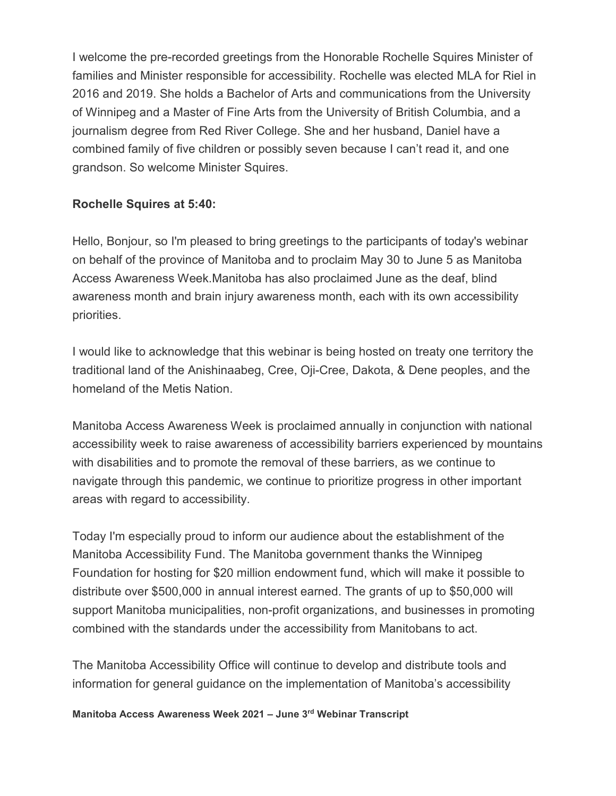I welcome the pre-recorded greetings from the Honorable Rochelle Squires Minister of families and Minister responsible for accessibility. Rochelle was elected MLA for Riel in 2016 and 2019. She holds a Bachelor of Arts and communications from the University of Winnipeg and a Master of Fine Arts from the University of British Columbia, and a journalism degree from Red River College. She and her husband, Daniel have a combined family of five children or possibly seven because I can't read it, and one grandson. So welcome Minister Squires.

#### **Rochelle Squires at 5:40:**

Hello, Bonjour, so I'm pleased to bring greetings to the participants of today's webinar on behalf of the province of Manitoba and to proclaim May 30 to June 5 as Manitoba Access Awareness Week.Manitoba has also proclaimed June as the deaf, blind awareness month and brain injury awareness month, each with its own accessibility priorities.

I would like to acknowledge that this webinar is being hosted on treaty one territory the traditional land of the Anishinaabeg, Cree, Oji-Cree, Dakota, & Dene peoples, and the homeland of the Metis Nation.

Manitoba Access Awareness Week is proclaimed annually in conjunction with national accessibility week to raise awareness of accessibility barriers experienced by mountains with disabilities and to promote the removal of these barriers, as we continue to navigate through this pandemic, we continue to prioritize progress in other important areas with regard to accessibility.

Today I'm especially proud to inform our audience about the establishment of the Manitoba Accessibility Fund. The Manitoba government thanks the Winnipeg Foundation for hosting for \$20 million endowment fund, which will make it possible to distribute over \$500,000 in annual interest earned. The grants of up to \$50,000 will support Manitoba municipalities, non-profit organizations, and businesses in promoting combined with the standards under the accessibility from Manitobans to act.

The Manitoba Accessibility Office will continue to develop and distribute tools and information for general guidance on the implementation of Manitoba's accessibility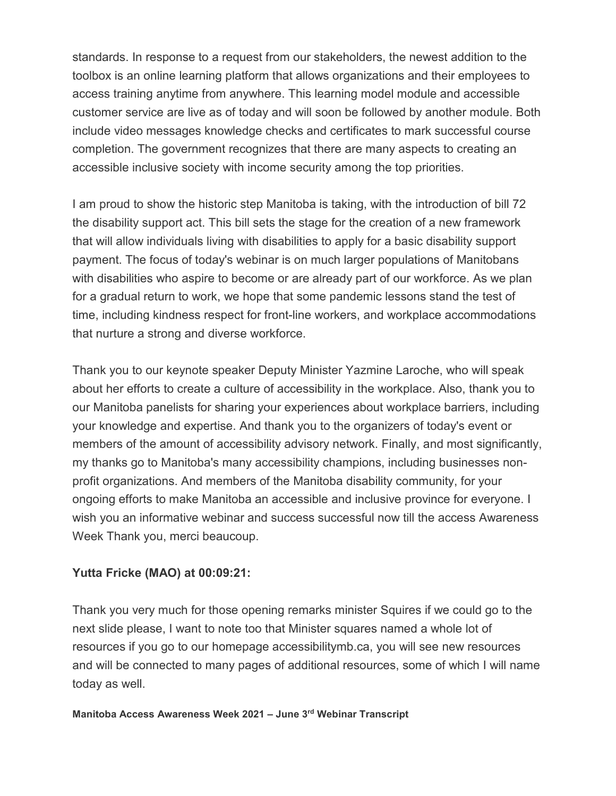standards. In response to a request from our stakeholders, the newest addition to the toolbox is an online learning platform that allows organizations and their employees to access training anytime from anywhere. This learning model module and accessible customer service are live as of today and will soon be followed by another module. Both include video messages knowledge checks and certificates to mark successful course completion. The government recognizes that there are many aspects to creating an accessible inclusive society with income security among the top priorities.

I am proud to show the historic step Manitoba is taking, with the introduction of bill 72 the disability support act. This bill sets the stage for the creation of a new framework that will allow individuals living with disabilities to apply for a basic disability support payment. The focus of today's webinar is on much larger populations of Manitobans with disabilities who aspire to become or are already part of our workforce. As we plan for a gradual return to work, we hope that some pandemic lessons stand the test of time, including kindness respect for front-line workers, and workplace accommodations that nurture a strong and diverse workforce.

Thank you to our keynote speaker Deputy Minister Yazmine Laroche, who will speak about her efforts to create a culture of accessibility in the workplace. Also, thank you to our Manitoba panelists for sharing your experiences about workplace barriers, including your knowledge and expertise. And thank you to the organizers of today's event or members of the amount of accessibility advisory network. Finally, and most significantly, my thanks go to Manitoba's many accessibility champions, including businesses nonprofit organizations. And members of the Manitoba disability community, for your ongoing efforts to make Manitoba an accessible and inclusive province for everyone. I wish you an informative webinar and success successful now till the access Awareness Week Thank you, merci beaucoup.

## **Yutta Fricke (MAO) at 00:09:21:**

Thank you very much for those opening remarks minister Squires if we could go to the next slide please, I want to note too that Minister squares named a whole lot of resources if you go to our homepage accessibilitymb.ca, you will see new resources and will be connected to many pages of additional resources, some of which I will name today as well.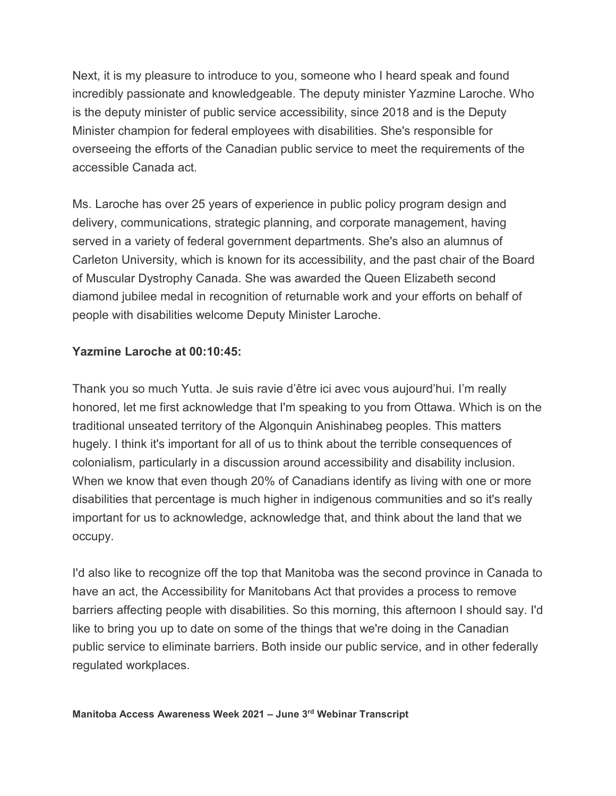Next, it is my pleasure to introduce to you, someone who I heard speak and found incredibly passionate and knowledgeable. The deputy minister Yazmine Laroche. Who is the deputy minister of public service accessibility, since 2018 and is the Deputy Minister champion for federal employees with disabilities. She's responsible for overseeing the efforts of the Canadian public service to meet the requirements of the accessible Canada act.

Ms. Laroche has over 25 years of experience in public policy program design and delivery, communications, strategic planning, and corporate management, having served in a variety of federal government departments. She's also an alumnus of Carleton University, which is known for its accessibility, and the past chair of the Board of Muscular Dystrophy Canada. She was awarded the Queen Elizabeth second diamond jubilee medal in recognition of returnable work and your efforts on behalf of people with disabilities welcome Deputy Minister Laroche.

#### **Yazmine Laroche at 00:10:45:**

Thank you so much Yutta. Je suis ravie d'être ici avec vous aujourd'hui. I'm really honored, let me first acknowledge that I'm speaking to you from Ottawa. Which is on the traditional unseated territory of the Algonquin Anishinabeg peoples. This matters hugely. I think it's important for all of us to think about the terrible consequences of colonialism, particularly in a discussion around accessibility and disability inclusion. When we know that even though 20% of Canadians identify as living with one or more disabilities that percentage is much higher in indigenous communities and so it's really important for us to acknowledge, acknowledge that, and think about the land that we occupy.

I'd also like to recognize off the top that Manitoba was the second province in Canada to have an act, the Accessibility for Manitobans Act that provides a process to remove barriers affecting people with disabilities. So this morning, this afternoon I should say. I'd like to bring you up to date on some of the things that we're doing in the Canadian public service to eliminate barriers. Both inside our public service, and in other federally regulated workplaces.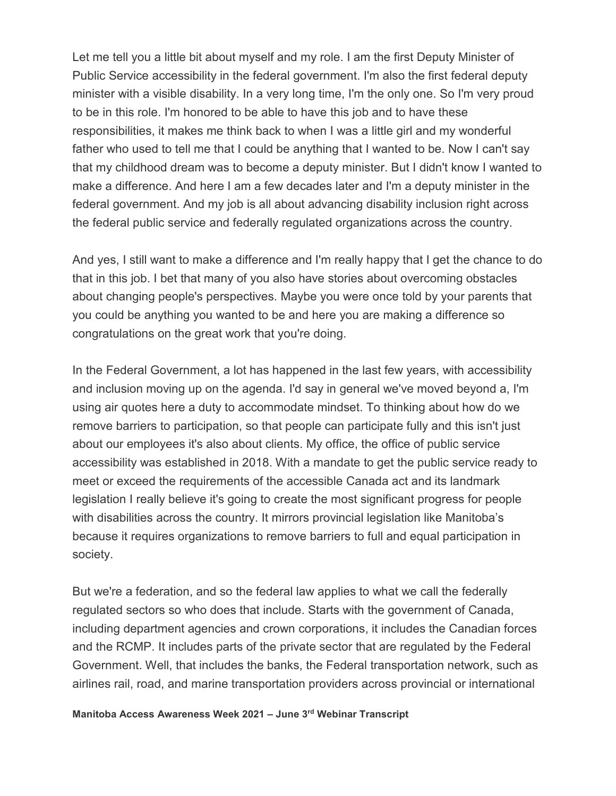Let me tell you a little bit about myself and my role. I am the first Deputy Minister of Public Service accessibility in the federal government. I'm also the first federal deputy minister with a visible disability. In a very long time, I'm the only one. So I'm very proud to be in this role. I'm honored to be able to have this job and to have these responsibilities, it makes me think back to when I was a little girl and my wonderful father who used to tell me that I could be anything that I wanted to be. Now I can't say that my childhood dream was to become a deputy minister. But I didn't know I wanted to make a difference. And here I am a few decades later and I'm a deputy minister in the federal government. And my job is all about advancing disability inclusion right across the federal public service and federally regulated organizations across the country.

And yes, I still want to make a difference and I'm really happy that I get the chance to do that in this job. I bet that many of you also have stories about overcoming obstacles about changing people's perspectives. Maybe you were once told by your parents that you could be anything you wanted to be and here you are making a difference so congratulations on the great work that you're doing.

In the Federal Government, a lot has happened in the last few years, with accessibility and inclusion moving up on the agenda. I'd say in general we've moved beyond a, I'm using air quotes here a duty to accommodate mindset. To thinking about how do we remove barriers to participation, so that people can participate fully and this isn't just about our employees it's also about clients. My office, the office of public service accessibility was established in 2018. With a mandate to get the public service ready to meet or exceed the requirements of the accessible Canada act and its landmark legislation I really believe it's going to create the most significant progress for people with disabilities across the country. It mirrors provincial legislation like Manitoba's because it requires organizations to remove barriers to full and equal participation in society.

But we're a federation, and so the federal law applies to what we call the federally regulated sectors so who does that include. Starts with the government of Canada, including department agencies and crown corporations, it includes the Canadian forces and the RCMP. It includes parts of the private sector that are regulated by the Federal Government. Well, that includes the banks, the Federal transportation network, such as airlines rail, road, and marine transportation providers across provincial or international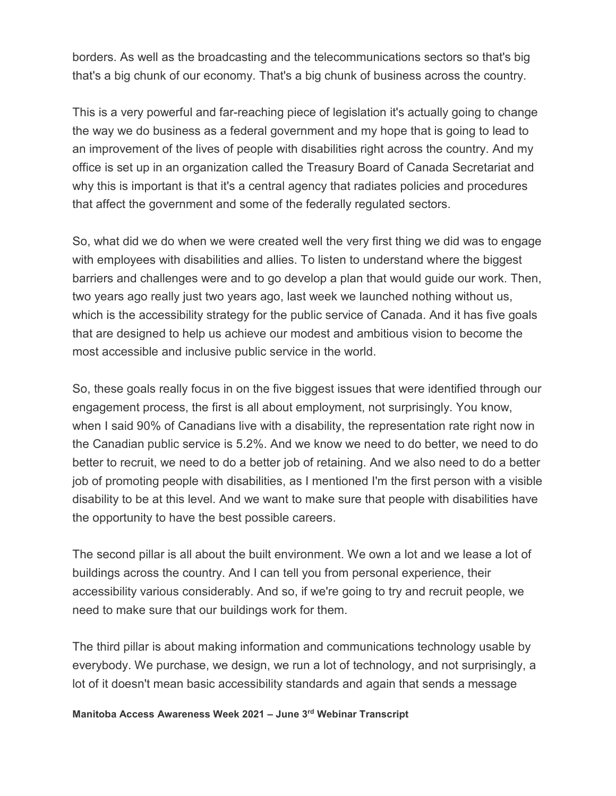borders. As well as the broadcasting and the telecommunications sectors so that's big that's a big chunk of our economy. That's a big chunk of business across the country.

This is a very powerful and far-reaching piece of legislation it's actually going to change the way we do business as a federal government and my hope that is going to lead to an improvement of the lives of people with disabilities right across the country. And my office is set up in an organization called the Treasury Board of Canada Secretariat and why this is important is that it's a central agency that radiates policies and procedures that affect the government and some of the federally regulated sectors.

So, what did we do when we were created well the very first thing we did was to engage with employees with disabilities and allies. To listen to understand where the biggest barriers and challenges were and to go develop a plan that would guide our work. Then, two years ago really just two years ago, last week we launched nothing without us, which is the accessibility strategy for the public service of Canada. And it has five goals that are designed to help us achieve our modest and ambitious vision to become the most accessible and inclusive public service in the world.

So, these goals really focus in on the five biggest issues that were identified through our engagement process, the first is all about employment, not surprisingly. You know, when I said 90% of Canadians live with a disability, the representation rate right now in the Canadian public service is 5.2%. And we know we need to do better, we need to do better to recruit, we need to do a better job of retaining. And we also need to do a better job of promoting people with disabilities, as I mentioned I'm the first person with a visible disability to be at this level. And we want to make sure that people with disabilities have the opportunity to have the best possible careers.

The second pillar is all about the built environment. We own a lot and we lease a lot of buildings across the country. And I can tell you from personal experience, their accessibility various considerably. And so, if we're going to try and recruit people, we need to make sure that our buildings work for them.

The third pillar is about making information and communications technology usable by everybody. We purchase, we design, we run a lot of technology, and not surprisingly, a lot of it doesn't mean basic accessibility standards and again that sends a message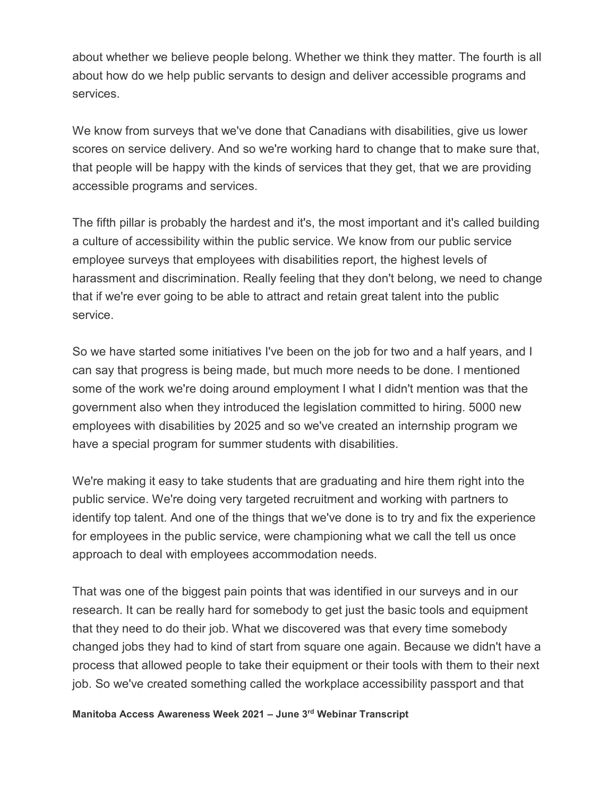about whether we believe people belong. Whether we think they matter. The fourth is all about how do we help public servants to design and deliver accessible programs and services.

We know from surveys that we've done that Canadians with disabilities, give us lower scores on service delivery. And so we're working hard to change that to make sure that, that people will be happy with the kinds of services that they get, that we are providing accessible programs and services.

The fifth pillar is probably the hardest and it's, the most important and it's called building a culture of accessibility within the public service. We know from our public service employee surveys that employees with disabilities report, the highest levels of harassment and discrimination. Really feeling that they don't belong, we need to change that if we're ever going to be able to attract and retain great talent into the public service.

So we have started some initiatives I've been on the job for two and a half years, and I can say that progress is being made, but much more needs to be done. I mentioned some of the work we're doing around employment I what I didn't mention was that the government also when they introduced the legislation committed to hiring. 5000 new employees with disabilities by 2025 and so we've created an internship program we have a special program for summer students with disabilities.

We're making it easy to take students that are graduating and hire them right into the public service. We're doing very targeted recruitment and working with partners to identify top talent. And one of the things that we've done is to try and fix the experience for employees in the public service, were championing what we call the tell us once approach to deal with employees accommodation needs.

That was one of the biggest pain points that was identified in our surveys and in our research. It can be really hard for somebody to get just the basic tools and equipment that they need to do their job. What we discovered was that every time somebody changed jobs they had to kind of start from square one again. Because we didn't have a process that allowed people to take their equipment or their tools with them to their next job. So we've created something called the workplace accessibility passport and that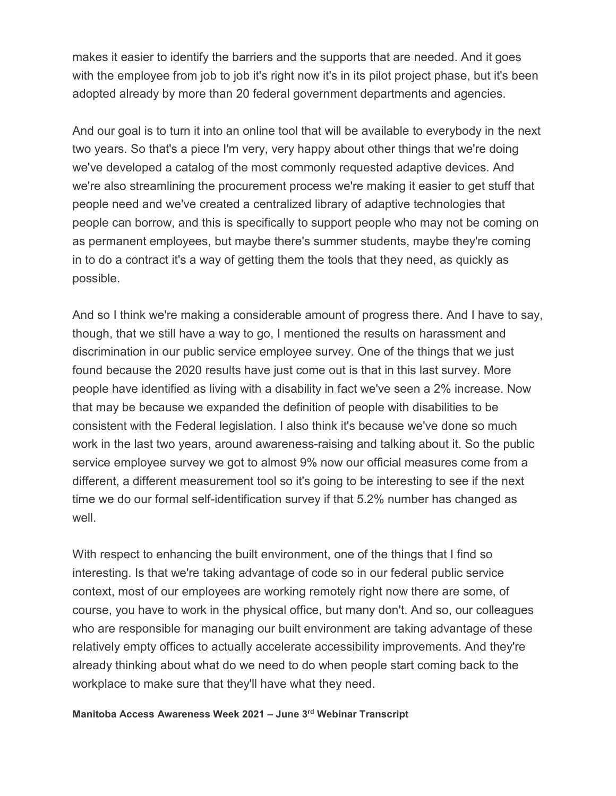makes it easier to identify the barriers and the supports that are needed. And it goes with the employee from job to job it's right now it's in its pilot project phase, but it's been adopted already by more than 20 federal government departments and agencies.

And our goal is to turn it into an online tool that will be available to everybody in the next two years. So that's a piece I'm very, very happy about other things that we're doing we've developed a catalog of the most commonly requested adaptive devices. And we're also streamlining the procurement process we're making it easier to get stuff that people need and we've created a centralized library of adaptive technologies that people can borrow, and this is specifically to support people who may not be coming on as permanent employees, but maybe there's summer students, maybe they're coming in to do a contract it's a way of getting them the tools that they need, as quickly as possible.

And so I think we're making a considerable amount of progress there. And I have to say, though, that we still have a way to go, I mentioned the results on harassment and discrimination in our public service employee survey. One of the things that we just found because the 2020 results have just come out is that in this last survey. More people have identified as living with a disability in fact we've seen a 2% increase. Now that may be because we expanded the definition of people with disabilities to be consistent with the Federal legislation. I also think it's because we've done so much work in the last two years, around awareness-raising and talking about it. So the public service employee survey we got to almost 9% now our official measures come from a different, a different measurement tool so it's going to be interesting to see if the next time we do our formal self-identification survey if that 5.2% number has changed as well

With respect to enhancing the built environment, one of the things that I find so interesting. Is that we're taking advantage of code so in our federal public service context, most of our employees are working remotely right now there are some, of course, you have to work in the physical office, but many don't. And so, our colleagues who are responsible for managing our built environment are taking advantage of these relatively empty offices to actually accelerate accessibility improvements. And they're already thinking about what do we need to do when people start coming back to the workplace to make sure that they'll have what they need.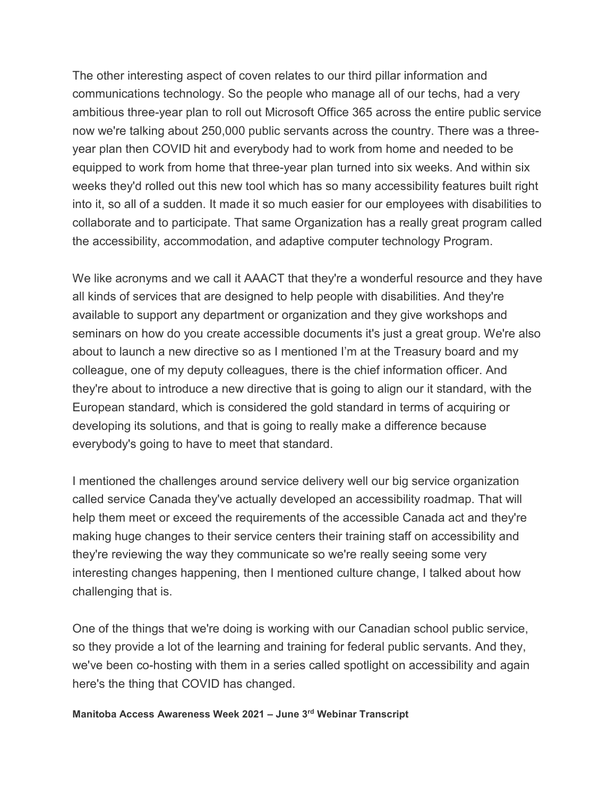The other interesting aspect of coven relates to our third pillar information and communications technology. So the people who manage all of our techs, had a very ambitious three-year plan to roll out Microsoft Office 365 across the entire public service now we're talking about 250,000 public servants across the country. There was a threeyear plan then COVID hit and everybody had to work from home and needed to be equipped to work from home that three-year plan turned into six weeks. And within six weeks they'd rolled out this new tool which has so many accessibility features built right into it, so all of a sudden. It made it so much easier for our employees with disabilities to collaborate and to participate. That same Organization has a really great program called the accessibility, accommodation, and adaptive computer technology Program.

We like acronyms and we call it AAACT that they're a wonderful resource and they have all kinds of services that are designed to help people with disabilities. And they're available to support any department or organization and they give workshops and seminars on how do you create accessible documents it's just a great group. We're also about to launch a new directive so as I mentioned I'm at the Treasury board and my colleague, one of my deputy colleagues, there is the chief information officer. And they're about to introduce a new directive that is going to align our it standard, with the European standard, which is considered the gold standard in terms of acquiring or developing its solutions, and that is going to really make a difference because everybody's going to have to meet that standard.

I mentioned the challenges around service delivery well our big service organization called service Canada they've actually developed an accessibility roadmap. That will help them meet or exceed the requirements of the accessible Canada act and they're making huge changes to their service centers their training staff on accessibility and they're reviewing the way they communicate so we're really seeing some very interesting changes happening, then I mentioned culture change, I talked about how challenging that is.

One of the things that we're doing is working with our Canadian school public service, so they provide a lot of the learning and training for federal public servants. And they, we've been co-hosting with them in a series called spotlight on accessibility and again here's the thing that COVID has changed.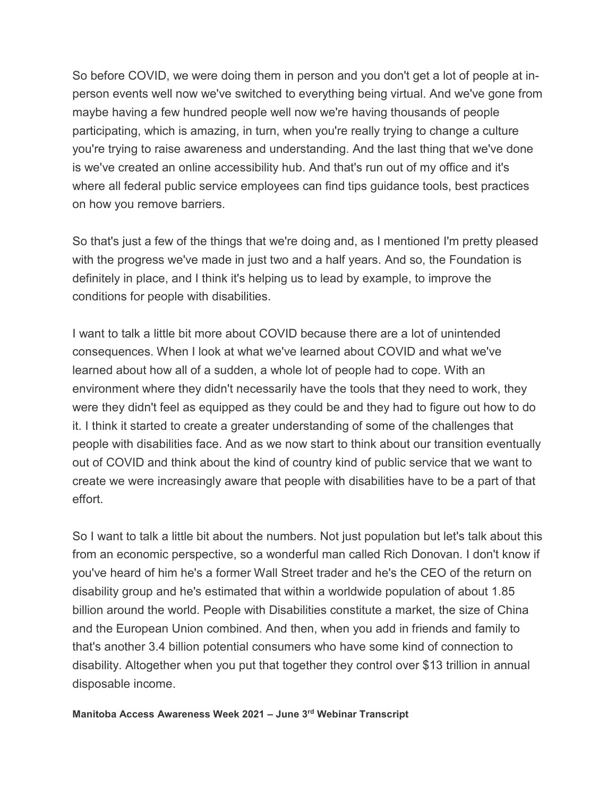So before COVID, we were doing them in person and you don't get a lot of people at inperson events well now we've switched to everything being virtual. And we've gone from maybe having a few hundred people well now we're having thousands of people participating, which is amazing, in turn, when you're really trying to change a culture you're trying to raise awareness and understanding. And the last thing that we've done is we've created an online accessibility hub. And that's run out of my office and it's where all federal public service employees can find tips guidance tools, best practices on how you remove barriers.

So that's just a few of the things that we're doing and, as I mentioned I'm pretty pleased with the progress we've made in just two and a half years. And so, the Foundation is definitely in place, and I think it's helping us to lead by example, to improve the conditions for people with disabilities.

I want to talk a little bit more about COVID because there are a lot of unintended consequences. When I look at what we've learned about COVID and what we've learned about how all of a sudden, a whole lot of people had to cope. With an environment where they didn't necessarily have the tools that they need to work, they were they didn't feel as equipped as they could be and they had to figure out how to do it. I think it started to create a greater understanding of some of the challenges that people with disabilities face. And as we now start to think about our transition eventually out of COVID and think about the kind of country kind of public service that we want to create we were increasingly aware that people with disabilities have to be a part of that effort.

So I want to talk a little bit about the numbers. Not just population but let's talk about this from an economic perspective, so a wonderful man called Rich Donovan. I don't know if you've heard of him he's a former Wall Street trader and he's the CEO of the return on disability group and he's estimated that within a worldwide population of about 1.85 billion around the world. People with Disabilities constitute a market, the size of China and the European Union combined. And then, when you add in friends and family to that's another 3.4 billion potential consumers who have some kind of connection to disability. Altogether when you put that together they control over \$13 trillion in annual disposable income.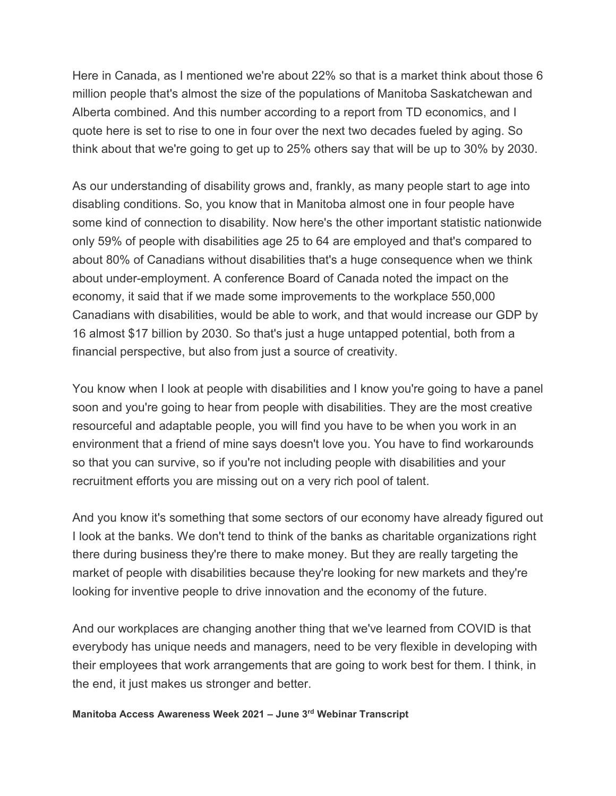Here in Canada, as I mentioned we're about 22% so that is a market think about those 6 million people that's almost the size of the populations of Manitoba Saskatchewan and Alberta combined. And this number according to a report from TD economics, and I quote here is set to rise to one in four over the next two decades fueled by aging. So think about that we're going to get up to 25% others say that will be up to 30% by 2030.

As our understanding of disability grows and, frankly, as many people start to age into disabling conditions. So, you know that in Manitoba almost one in four people have some kind of connection to disability. Now here's the other important statistic nationwide only 59% of people with disabilities age 25 to 64 are employed and that's compared to about 80% of Canadians without disabilities that's a huge consequence when we think about under-employment. A conference Board of Canada noted the impact on the economy, it said that if we made some improvements to the workplace 550,000 Canadians with disabilities, would be able to work, and that would increase our GDP by 16 almost \$17 billion by 2030. So that's just a huge untapped potential, both from a financial perspective, but also from just a source of creativity.

You know when I look at people with disabilities and I know you're going to have a panel soon and you're going to hear from people with disabilities. They are the most creative resourceful and adaptable people, you will find you have to be when you work in an environment that a friend of mine says doesn't love you. You have to find workarounds so that you can survive, so if you're not including people with disabilities and your recruitment efforts you are missing out on a very rich pool of talent.

And you know it's something that some sectors of our economy have already figured out I look at the banks. We don't tend to think of the banks as charitable organizations right there during business they're there to make money. But they are really targeting the market of people with disabilities because they're looking for new markets and they're looking for inventive people to drive innovation and the economy of the future.

And our workplaces are changing another thing that we've learned from COVID is that everybody has unique needs and managers, need to be very flexible in developing with their employees that work arrangements that are going to work best for them. I think, in the end, it just makes us stronger and better.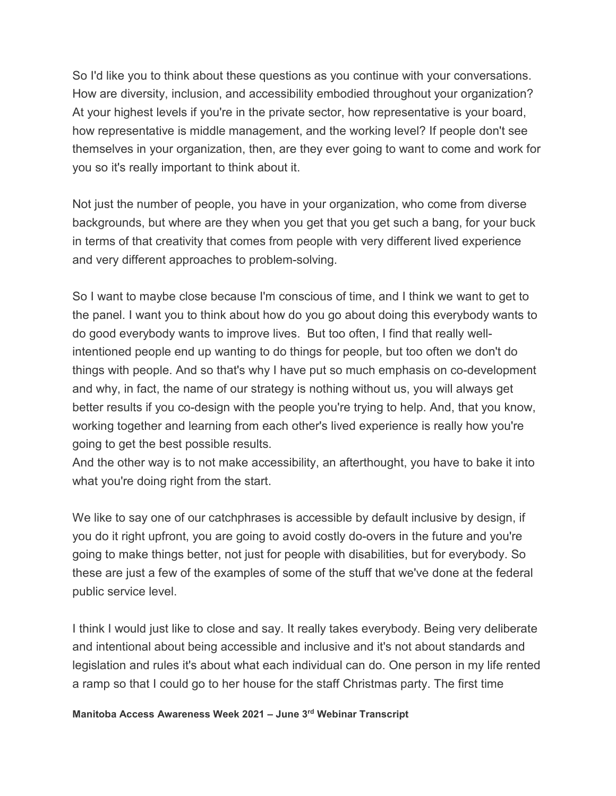So I'd like you to think about these questions as you continue with your conversations. How are diversity, inclusion, and accessibility embodied throughout your organization? At your highest levels if you're in the private sector, how representative is your board, how representative is middle management, and the working level? If people don't see themselves in your organization, then, are they ever going to want to come and work for you so it's really important to think about it.

Not just the number of people, you have in your organization, who come from diverse backgrounds, but where are they when you get that you get such a bang, for your buck in terms of that creativity that comes from people with very different lived experience and very different approaches to problem-solving.

So I want to maybe close because I'm conscious of time, and I think we want to get to the panel. I want you to think about how do you go about doing this everybody wants to do good everybody wants to improve lives. But too often, I find that really wellintentioned people end up wanting to do things for people, but too often we don't do things with people. And so that's why I have put so much emphasis on co-development and why, in fact, the name of our strategy is nothing without us, you will always get better results if you co-design with the people you're trying to help. And, that you know, working together and learning from each other's lived experience is really how you're going to get the best possible results.

And the other way is to not make accessibility, an afterthought, you have to bake it into what you're doing right from the start.

We like to say one of our catchphrases is accessible by default inclusive by design, if you do it right upfront, you are going to avoid costly do-overs in the future and you're going to make things better, not just for people with disabilities, but for everybody. So these are just a few of the examples of some of the stuff that we've done at the federal public service level.

I think I would just like to close and say. It really takes everybody. Being very deliberate and intentional about being accessible and inclusive and it's not about standards and legislation and rules it's about what each individual can do. One person in my life rented a ramp so that I could go to her house for the staff Christmas party. The first time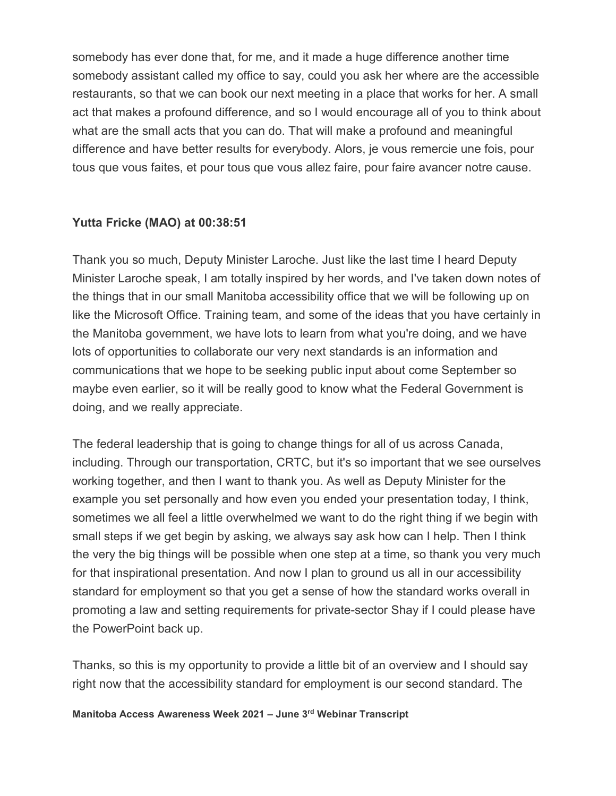somebody has ever done that, for me, and it made a huge difference another time somebody assistant called my office to say, could you ask her where are the accessible restaurants, so that we can book our next meeting in a place that works for her. A small act that makes a profound difference, and so I would encourage all of you to think about what are the small acts that you can do. That will make a profound and meaningful difference and have better results for everybody. Alors, je vous remercie une fois, pour tous que vous faites, et pour tous que vous allez faire, pour faire avancer notre cause.

#### **Yutta Fricke (MAO) at 00:38:51**

Thank you so much, Deputy Minister Laroche. Just like the last time I heard Deputy Minister Laroche speak, I am totally inspired by her words, and I've taken down notes of the things that in our small Manitoba accessibility office that we will be following up on like the Microsoft Office. Training team, and some of the ideas that you have certainly in the Manitoba government, we have lots to learn from what you're doing, and we have lots of opportunities to collaborate our very next standards is an information and communications that we hope to be seeking public input about come September so maybe even earlier, so it will be really good to know what the Federal Government is doing, and we really appreciate.

The federal leadership that is going to change things for all of us across Canada, including. Through our transportation, CRTC, but it's so important that we see ourselves working together, and then I want to thank you. As well as Deputy Minister for the example you set personally and how even you ended your presentation today, I think, sometimes we all feel a little overwhelmed we want to do the right thing if we begin with small steps if we get begin by asking, we always say ask how can I help. Then I think the very the big things will be possible when one step at a time, so thank you very much for that inspirational presentation. And now I plan to ground us all in our accessibility standard for employment so that you get a sense of how the standard works overall in promoting a law and setting requirements for private-sector Shay if I could please have the PowerPoint back up.

Thanks, so this is my opportunity to provide a little bit of an overview and I should say right now that the accessibility standard for employment is our second standard. The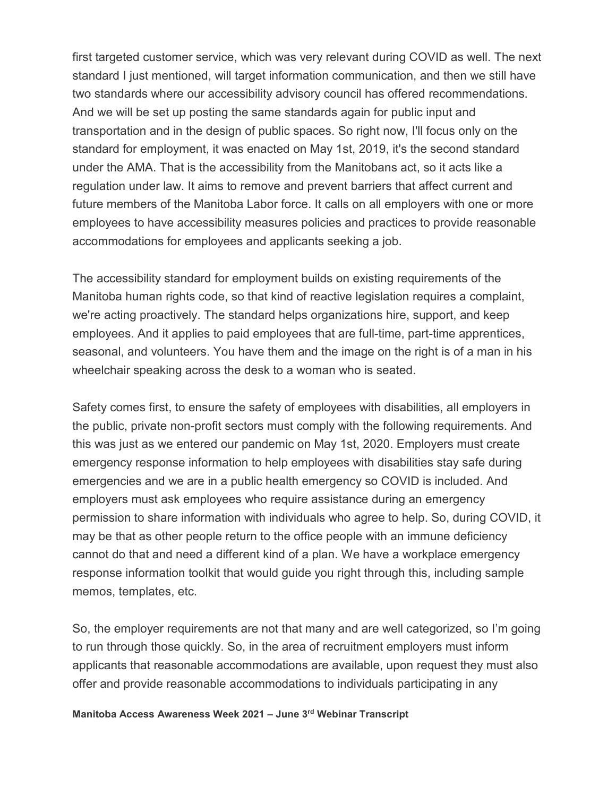first targeted customer service, which was very relevant during COVID as well. The next standard I just mentioned, will target information communication, and then we still have two standards where our accessibility advisory council has offered recommendations. And we will be set up posting the same standards again for public input and transportation and in the design of public spaces. So right now, I'll focus only on the standard for employment, it was enacted on May 1st, 2019, it's the second standard under the AMA. That is the accessibility from the Manitobans act, so it acts like a regulation under law. It aims to remove and prevent barriers that affect current and future members of the Manitoba Labor force. It calls on all employers with one or more employees to have accessibility measures policies and practices to provide reasonable accommodations for employees and applicants seeking a job.

The accessibility standard for employment builds on existing requirements of the Manitoba human rights code, so that kind of reactive legislation requires a complaint, we're acting proactively. The standard helps organizations hire, support, and keep employees. And it applies to paid employees that are full-time, part-time apprentices, seasonal, and volunteers. You have them and the image on the right is of a man in his wheelchair speaking across the desk to a woman who is seated.

Safety comes first, to ensure the safety of employees with disabilities, all employers in the public, private non-profit sectors must comply with the following requirements. And this was just as we entered our pandemic on May 1st, 2020. Employers must create emergency response information to help employees with disabilities stay safe during emergencies and we are in a public health emergency so COVID is included. And employers must ask employees who require assistance during an emergency permission to share information with individuals who agree to help. So, during COVID, it may be that as other people return to the office people with an immune deficiency cannot do that and need a different kind of a plan. We have a workplace emergency response information toolkit that would guide you right through this, including sample memos, templates, etc.

So, the employer requirements are not that many and are well categorized, so I'm going to run through those quickly. So, in the area of recruitment employers must inform applicants that reasonable accommodations are available, upon request they must also offer and provide reasonable accommodations to individuals participating in any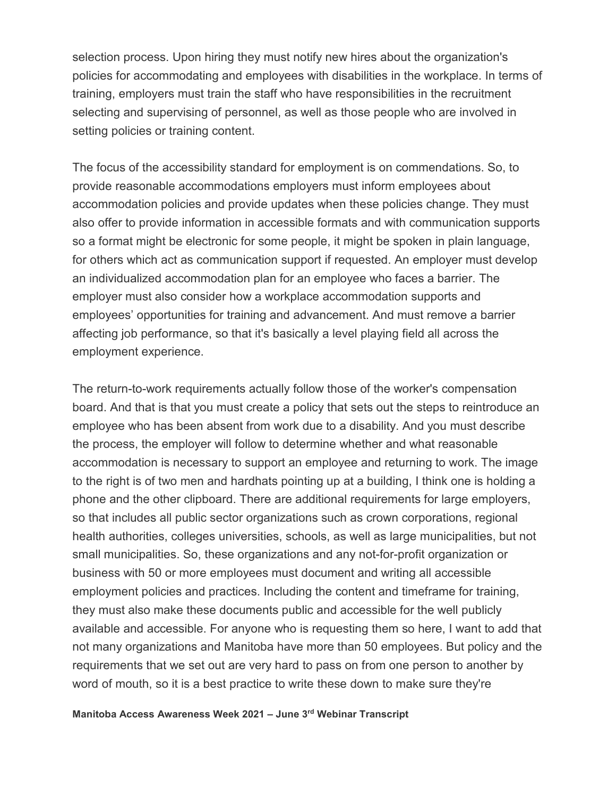selection process. Upon hiring they must notify new hires about the organization's policies for accommodating and employees with disabilities in the workplace. In terms of training, employers must train the staff who have responsibilities in the recruitment selecting and supervising of personnel, as well as those people who are involved in setting policies or training content.

The focus of the accessibility standard for employment is on commendations. So, to provide reasonable accommodations employers must inform employees about accommodation policies and provide updates when these policies change. They must also offer to provide information in accessible formats and with communication supports so a format might be electronic for some people, it might be spoken in plain language, for others which act as communication support if requested. An employer must develop an individualized accommodation plan for an employee who faces a barrier. The employer must also consider how a workplace accommodation supports and employees' opportunities for training and advancement. And must remove a barrier affecting job performance, so that it's basically a level playing field all across the employment experience.

The return-to-work requirements actually follow those of the worker's compensation board. And that is that you must create a policy that sets out the steps to reintroduce an employee who has been absent from work due to a disability. And you must describe the process, the employer will follow to determine whether and what reasonable accommodation is necessary to support an employee and returning to work. The image to the right is of two men and hardhats pointing up at a building, I think one is holding a phone and the other clipboard. There are additional requirements for large employers, so that includes all public sector organizations such as crown corporations, regional health authorities, colleges universities, schools, as well as large municipalities, but not small municipalities. So, these organizations and any not-for-profit organization or business with 50 or more employees must document and writing all accessible employment policies and practices. Including the content and timeframe for training, they must also make these documents public and accessible for the well publicly available and accessible. For anyone who is requesting them so here, I want to add that not many organizations and Manitoba have more than 50 employees. But policy and the requirements that we set out are very hard to pass on from one person to another by word of mouth, so it is a best practice to write these down to make sure they're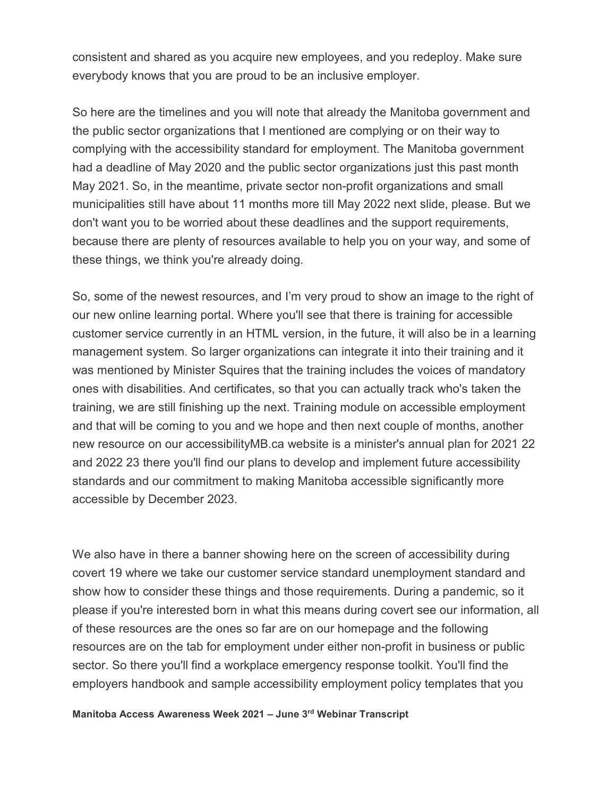consistent and shared as you acquire new employees, and you redeploy. Make sure everybody knows that you are proud to be an inclusive employer.

So here are the timelines and you will note that already the Manitoba government and the public sector organizations that I mentioned are complying or on their way to complying with the accessibility standard for employment. The Manitoba government had a deadline of May 2020 and the public sector organizations just this past month May 2021. So, in the meantime, private sector non-profit organizations and small municipalities still have about 11 months more till May 2022 next slide, please. But we don't want you to be worried about these deadlines and the support requirements, because there are plenty of resources available to help you on your way, and some of these things, we think you're already doing.

So, some of the newest resources, and I'm very proud to show an image to the right of our new online learning portal. Where you'll see that there is training for accessible customer service currently in an HTML version, in the future, it will also be in a learning management system. So larger organizations can integrate it into their training and it was mentioned by Minister Squires that the training includes the voices of mandatory ones with disabilities. And certificates, so that you can actually track who's taken the training, we are still finishing up the next. Training module on accessible employment and that will be coming to you and we hope and then next couple of months, another new resource on our accessibilityMB.ca website is a minister's annual plan for 2021 22 and 2022 23 there you'll find our plans to develop and implement future accessibility standards and our commitment to making Manitoba accessible significantly more accessible by December 2023.

We also have in there a banner showing here on the screen of accessibility during covert 19 where we take our customer service standard unemployment standard and show how to consider these things and those requirements. During a pandemic, so it please if you're interested born in what this means during covert see our information, all of these resources are the ones so far are on our homepage and the following resources are on the tab for employment under either non-profit in business or public sector. So there you'll find a workplace emergency response toolkit. You'll find the employers handbook and sample accessibility employment policy templates that you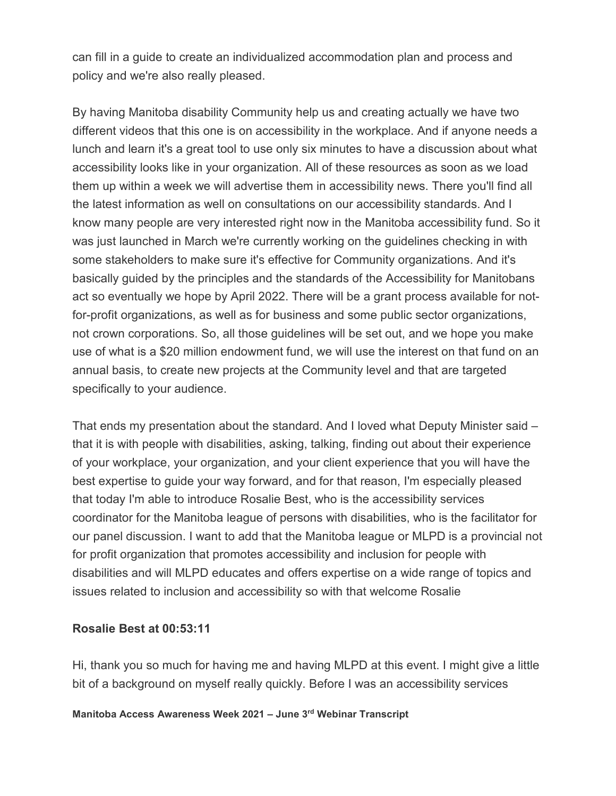can fill in a guide to create an individualized accommodation plan and process and policy and we're also really pleased.

By having Manitoba disability Community help us and creating actually we have two different videos that this one is on accessibility in the workplace. And if anyone needs a lunch and learn it's a great tool to use only six minutes to have a discussion about what accessibility looks like in your organization. All of these resources as soon as we load them up within a week we will advertise them in accessibility news. There you'll find all the latest information as well on consultations on our accessibility standards. And I know many people are very interested right now in the Manitoba accessibility fund. So it was just launched in March we're currently working on the guidelines checking in with some stakeholders to make sure it's effective for Community organizations. And it's basically guided by the principles and the standards of the Accessibility for Manitobans act so eventually we hope by April 2022. There will be a grant process available for notfor-profit organizations, as well as for business and some public sector organizations, not crown corporations. So, all those guidelines will be set out, and we hope you make use of what is a \$20 million endowment fund, we will use the interest on that fund on an annual basis, to create new projects at the Community level and that are targeted specifically to your audience.

That ends my presentation about the standard. And I loved what Deputy Minister said – that it is with people with disabilities, asking, talking, finding out about their experience of your workplace, your organization, and your client experience that you will have the best expertise to guide your way forward, and for that reason, I'm especially pleased that today I'm able to introduce Rosalie Best, who is the accessibility services coordinator for the Manitoba league of persons with disabilities, who is the facilitator for our panel discussion. I want to add that the Manitoba league or MLPD is a provincial not for profit organization that promotes accessibility and inclusion for people with disabilities and will MLPD educates and offers expertise on a wide range of topics and issues related to inclusion and accessibility so with that welcome Rosalie

#### **Rosalie Best at 00:53:11**

Hi, thank you so much for having me and having MLPD at this event. I might give a little bit of a background on myself really quickly. Before I was an accessibility services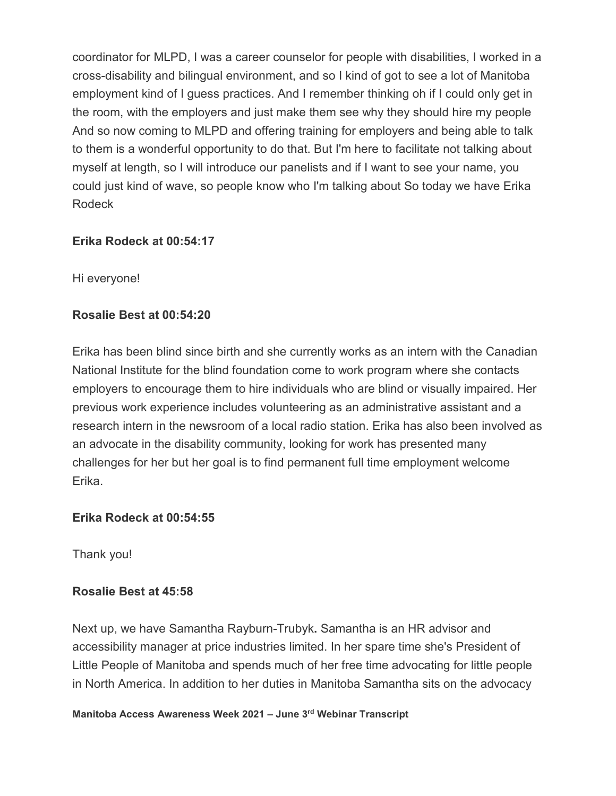coordinator for MLPD, I was a career counselor for people with disabilities, I worked in a cross-disability and bilingual environment, and so I kind of got to see a lot of Manitoba employment kind of I guess practices. And I remember thinking oh if I could only get in the room, with the employers and just make them see why they should hire my people And so now coming to MLPD and offering training for employers and being able to talk to them is a wonderful opportunity to do that. But I'm here to facilitate not talking about myself at length, so I will introduce our panelists and if I want to see your name, you could just kind of wave, so people know who I'm talking about So today we have Erika Rodeck

## **Erika Rodeck at 00:54:17**

Hi everyone!

## **Rosalie Best at 00:54:20**

Erika has been blind since birth and she currently works as an intern with the Canadian National Institute for the blind foundation come to work program where she contacts employers to encourage them to hire individuals who are blind or visually impaired. Her previous work experience includes volunteering as an administrative assistant and a research intern in the newsroom of a local radio station. Erika has also been involved as an advocate in the disability community, looking for work has presented many challenges for her but her goal is to find permanent full time employment welcome Erika.

#### **Erika Rodeck at 00:54:55**

Thank you!

#### **Rosalie Best at 45:58**

Next up, we have Samantha Rayburn-Trubyk**.** Samantha is an HR advisor and accessibility manager at price industries limited. In her spare time she's President of Little People of Manitoba and spends much of her free time advocating for little people in North America. In addition to her duties in Manitoba Samantha sits on the advocacy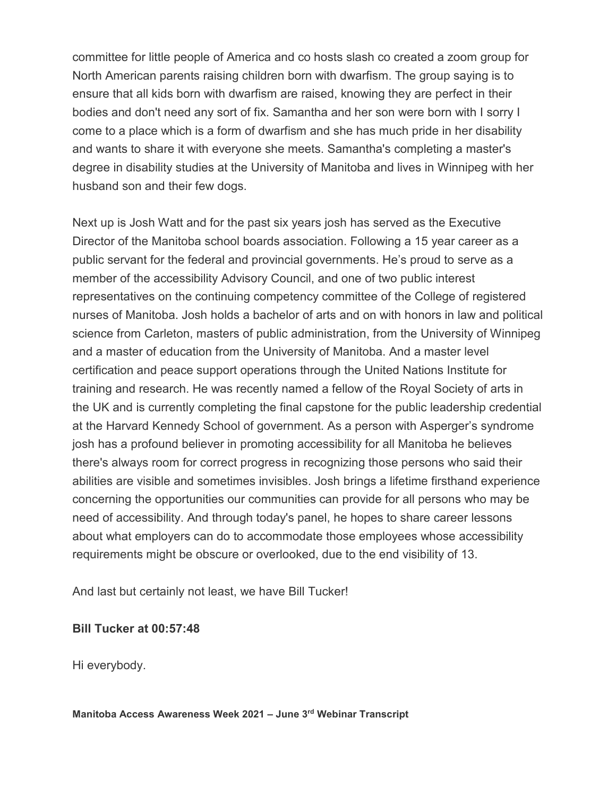committee for little people of America and co hosts slash co created a zoom group for North American parents raising children born with dwarfism. The group saying is to ensure that all kids born with dwarfism are raised, knowing they are perfect in their bodies and don't need any sort of fix. Samantha and her son were born with I sorry I come to a place which is a form of dwarfism and she has much pride in her disability and wants to share it with everyone she meets. Samantha's completing a master's degree in disability studies at the University of Manitoba and lives in Winnipeg with her husband son and their few dogs.

Next up is Josh Watt and for the past six years josh has served as the Executive Director of the Manitoba school boards association. Following a 15 year career as a public servant for the federal and provincial governments. He's proud to serve as a member of the accessibility Advisory Council, and one of two public interest representatives on the continuing competency committee of the College of registered nurses of Manitoba. Josh holds a bachelor of arts and on with honors in law and political science from Carleton, masters of public administration, from the University of Winnipeg and a master of education from the University of Manitoba. And a master level certification and peace support operations through the United Nations Institute for training and research. He was recently named a fellow of the Royal Society of arts in the UK and is currently completing the final capstone for the public leadership credential at the Harvard Kennedy School of government. As a person with Asperger's syndrome josh has a profound believer in promoting accessibility for all Manitoba he believes there's always room for correct progress in recognizing those persons who said their abilities are visible and sometimes invisibles. Josh brings a lifetime firsthand experience concerning the opportunities our communities can provide for all persons who may be need of accessibility. And through today's panel, he hopes to share career lessons about what employers can do to accommodate those employees whose accessibility requirements might be obscure or overlooked, due to the end visibility of 13.

And last but certainly not least, we have Bill Tucker!

#### **Bill Tucker at 00:57:48**

Hi everybody.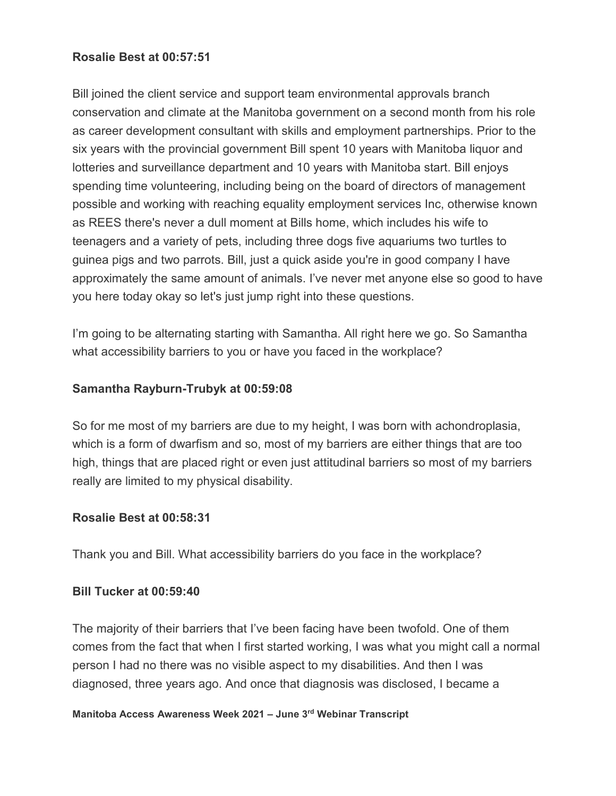#### **Rosalie Best at 00:57:51**

Bill joined the client service and support team environmental approvals branch conservation and climate at the Manitoba government on a second month from his role as career development consultant with skills and employment partnerships. Prior to the six years with the provincial government Bill spent 10 years with Manitoba liquor and lotteries and surveillance department and 10 years with Manitoba start. Bill enjoys spending time volunteering, including being on the board of directors of management possible and working with reaching equality employment services Inc, otherwise known as REES there's never a dull moment at Bills home, which includes his wife to teenagers and a variety of pets, including three dogs five aquariums two turtles to guinea pigs and two parrots. Bill, just a quick aside you're in good company I have approximately the same amount of animals. I've never met anyone else so good to have you here today okay so let's just jump right into these questions.

I'm going to be alternating starting with Samantha. All right here we go. So Samantha what accessibility barriers to you or have you faced in the workplace?

#### **Samantha Rayburn-Trubyk at 00:59:08**

So for me most of my barriers are due to my height, I was born with achondroplasia, which is a form of dwarfism and so, most of my barriers are either things that are too high, things that are placed right or even just attitudinal barriers so most of my barriers really are limited to my physical disability.

#### **Rosalie Best at 00:58:31**

Thank you and Bill. What accessibility barriers do you face in the workplace?

#### **Bill Tucker at 00:59:40**

The majority of their barriers that I've been facing have been twofold. One of them comes from the fact that when I first started working, I was what you might call a normal person I had no there was no visible aspect to my disabilities. And then I was diagnosed, three years ago. And once that diagnosis was disclosed, I became a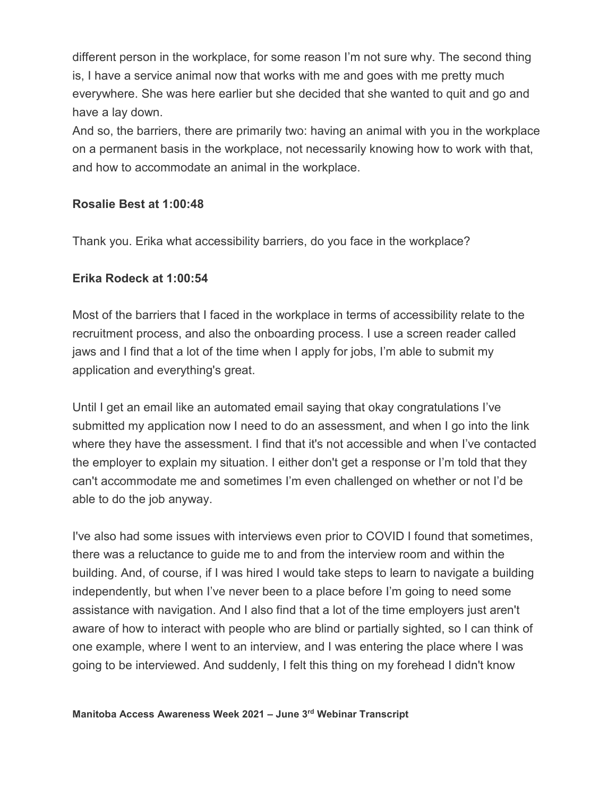different person in the workplace, for some reason I'm not sure why. The second thing is, I have a service animal now that works with me and goes with me pretty much everywhere. She was here earlier but she decided that she wanted to quit and go and have a lay down.

And so, the barriers, there are primarily two: having an animal with you in the workplace on a permanent basis in the workplace, not necessarily knowing how to work with that, and how to accommodate an animal in the workplace.

#### **Rosalie Best at 1:00:48**

Thank you. Erika what accessibility barriers, do you face in the workplace?

#### **Erika Rodeck at 1:00:54**

Most of the barriers that I faced in the workplace in terms of accessibility relate to the recruitment process, and also the onboarding process. I use a screen reader called jaws and I find that a lot of the time when I apply for jobs, I'm able to submit my application and everything's great.

Until I get an email like an automated email saying that okay congratulations I've submitted my application now I need to do an assessment, and when I go into the link where they have the assessment. I find that it's not accessible and when I've contacted the employer to explain my situation. I either don't get a response or I'm told that they can't accommodate me and sometimes I'm even challenged on whether or not I'd be able to do the job anyway.

I've also had some issues with interviews even prior to COVID I found that sometimes, there was a reluctance to guide me to and from the interview room and within the building. And, of course, if I was hired I would take steps to learn to navigate a building independently, but when I've never been to a place before I'm going to need some assistance with navigation. And I also find that a lot of the time employers just aren't aware of how to interact with people who are blind or partially sighted, so I can think of one example, where I went to an interview, and I was entering the place where I was going to be interviewed. And suddenly, I felt this thing on my forehead I didn't know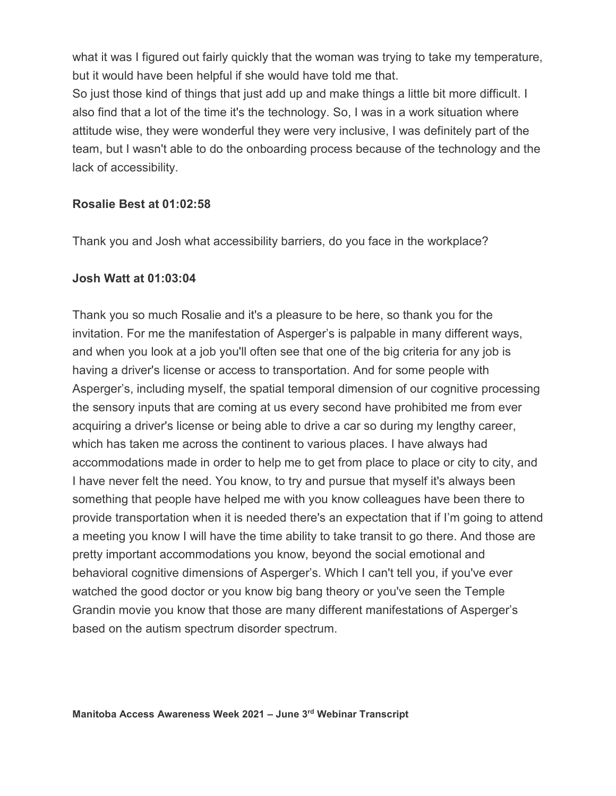what it was I figured out fairly quickly that the woman was trying to take my temperature, but it would have been helpful if she would have told me that.

So just those kind of things that just add up and make things a little bit more difficult. I also find that a lot of the time it's the technology. So, I was in a work situation where attitude wise, they were wonderful they were very inclusive, I was definitely part of the team, but I wasn't able to do the onboarding process because of the technology and the lack of accessibility.

#### **Rosalie Best at 01:02:58**

Thank you and Josh what accessibility barriers, do you face in the workplace?

#### **Josh Watt at 01:03:04**

Thank you so much Rosalie and it's a pleasure to be here, so thank you for the invitation. For me the manifestation of Asperger's is palpable in many different ways, and when you look at a job you'll often see that one of the big criteria for any job is having a driver's license or access to transportation. And for some people with Asperger's, including myself, the spatial temporal dimension of our cognitive processing the sensory inputs that are coming at us every second have prohibited me from ever acquiring a driver's license or being able to drive a car so during my lengthy career, which has taken me across the continent to various places. I have always had accommodations made in order to help me to get from place to place or city to city, and I have never felt the need. You know, to try and pursue that myself it's always been something that people have helped me with you know colleagues have been there to provide transportation when it is needed there's an expectation that if I'm going to attend a meeting you know I will have the time ability to take transit to go there. And those are pretty important accommodations you know, beyond the social emotional and behavioral cognitive dimensions of Asperger's. Which I can't tell you, if you've ever watched the good doctor or you know big bang theory or you've seen the Temple Grandin movie you know that those are many different manifestations of Asperger's based on the autism spectrum disorder spectrum.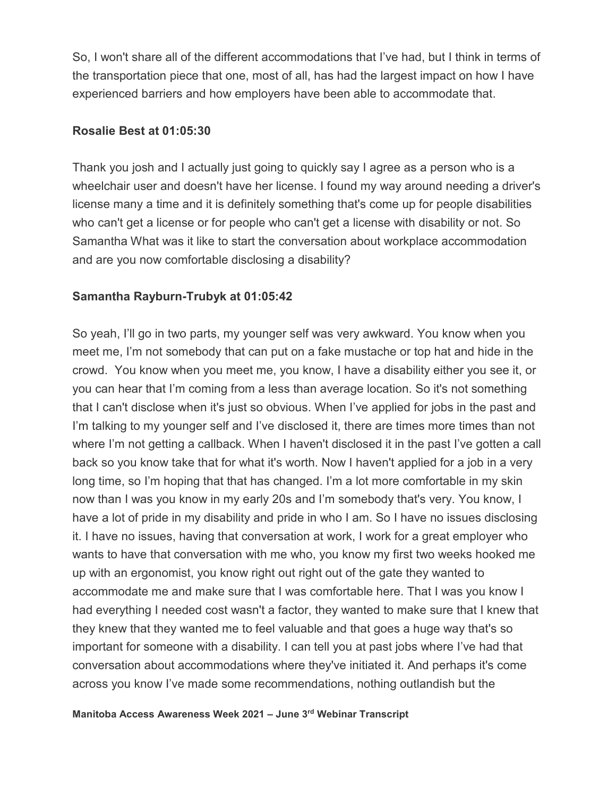So, I won't share all of the different accommodations that I've had, but I think in terms of the transportation piece that one, most of all, has had the largest impact on how I have experienced barriers and how employers have been able to accommodate that.

#### **Rosalie Best at 01:05:30**

Thank you josh and I actually just going to quickly say I agree as a person who is a wheelchair user and doesn't have her license. I found my way around needing a driver's license many a time and it is definitely something that's come up for people disabilities who can't get a license or for people who can't get a license with disability or not. So Samantha What was it like to start the conversation about workplace accommodation and are you now comfortable disclosing a disability?

## **Samantha Rayburn-Trubyk at 01:05:42**

So yeah, I'll go in two parts, my younger self was very awkward. You know when you meet me, I'm not somebody that can put on a fake mustache or top hat and hide in the crowd. You know when you meet me, you know, I have a disability either you see it, or you can hear that I'm coming from a less than average location. So it's not something that I can't disclose when it's just so obvious. When I've applied for jobs in the past and I'm talking to my younger self and I've disclosed it, there are times more times than not where I'm not getting a callback. When I haven't disclosed it in the past I've gotten a call back so you know take that for what it's worth. Now I haven't applied for a job in a very long time, so I'm hoping that that has changed. I'm a lot more comfortable in my skin now than I was you know in my early 20s and I'm somebody that's very. You know, I have a lot of pride in my disability and pride in who I am. So I have no issues disclosing it. I have no issues, having that conversation at work, I work for a great employer who wants to have that conversation with me who, you know my first two weeks hooked me up with an ergonomist, you know right out right out of the gate they wanted to accommodate me and make sure that I was comfortable here. That I was you know I had everything I needed cost wasn't a factor, they wanted to make sure that I knew that they knew that they wanted me to feel valuable and that goes a huge way that's so important for someone with a disability. I can tell you at past jobs where I've had that conversation about accommodations where they've initiated it. And perhaps it's come across you know I've made some recommendations, nothing outlandish but the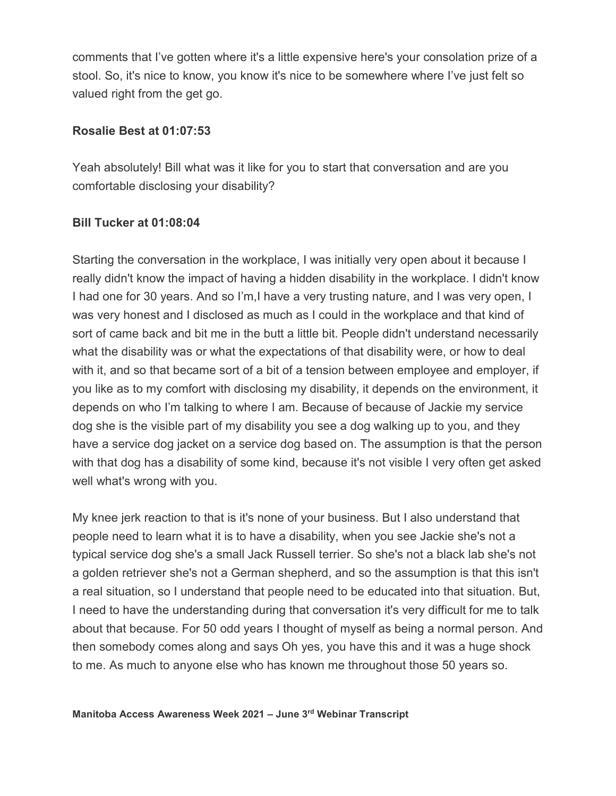comments that I've gotten where it's a little expensive here's your consolation prize of a stool. So, it's nice to know, you know it's nice to be somewhere where I've just felt so valued right from the get go.

#### **Rosalie Best at 01:07:53**

Yeah absolutely! Bill what was it like for you to start that conversation and are you comfortable disclosing your disability?

#### **Bill Tucker at 01:08:04**

Starting the conversation in the workplace, I was initially very open about it because I really didn't know the impact of having a hidden disability in the workplace. I didn't know I had one for 30 years. And so I'm,I have a very trusting nature, and I was very open, I was very honest and I disclosed as much as I could in the workplace and that kind of sort of came back and bit me in the butt a little bit. People didn't understand necessarily what the disability was or what the expectations of that disability were, or how to deal with it, and so that became sort of a bit of a tension between employee and employer, if you like as to my comfort with disclosing my disability, it depends on the environment, it depends on who I'm talking to where I am. Because of because of Jackie my service dog she is the visible part of my disability you see a dog walking up to you, and they have a service dog jacket on a service dog based on. The assumption is that the person with that dog has a disability of some kind, because it's not visible I very often get asked well what's wrong with you.

My knee jerk reaction to that is it's none of your business. But I also understand that people need to learn what it is to have a disability, when you see Jackie she's not a typical service dog she's a small Jack Russell terrier. So she's not a black lab she's not a golden retriever she's not a German shepherd, and so the assumption is that this isn't a real situation, so I understand that people need to be educated into that situation. But, I need to have the understanding during that conversation it's very difficult for me to talk about that because. For 50 odd years I thought of myself as being a normal person. And then somebody comes along and says Oh yes, you have this and it was a huge shock to me. As much to anyone else who has known me throughout those 50 years so.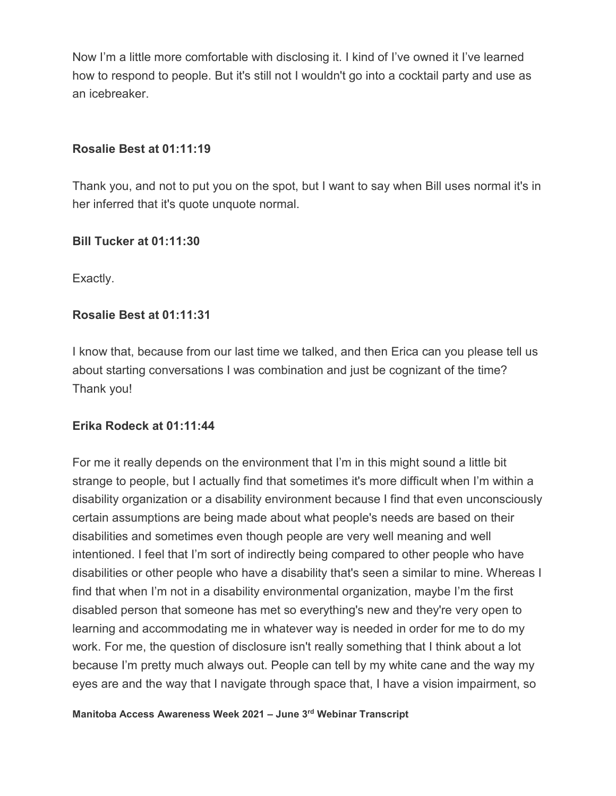Now I'm a little more comfortable with disclosing it. I kind of I've owned it I've learned how to respond to people. But it's still not I wouldn't go into a cocktail party and use as an icebreaker.

#### **Rosalie Best at 01:11:19**

Thank you, and not to put you on the spot, but I want to say when Bill uses normal it's in her inferred that it's quote unquote normal.

#### **Bill Tucker at 01:11:30**

Exactly.

## **Rosalie Best at 01:11:31**

I know that, because from our last time we talked, and then Erica can you please tell us about starting conversations I was combination and just be cognizant of the time? Thank you!

## **Erika Rodeck at 01:11:44**

For me it really depends on the environment that I'm in this might sound a little bit strange to people, but I actually find that sometimes it's more difficult when I'm within a disability organization or a disability environment because I find that even unconsciously certain assumptions are being made about what people's needs are based on their disabilities and sometimes even though people are very well meaning and well intentioned. I feel that I'm sort of indirectly being compared to other people who have disabilities or other people who have a disability that's seen a similar to mine. Whereas I find that when I'm not in a disability environmental organization, maybe I'm the first disabled person that someone has met so everything's new and they're very open to learning and accommodating me in whatever way is needed in order for me to do my work. For me, the question of disclosure isn't really something that I think about a lot because I'm pretty much always out. People can tell by my white cane and the way my eyes are and the way that I navigate through space that, I have a vision impairment, so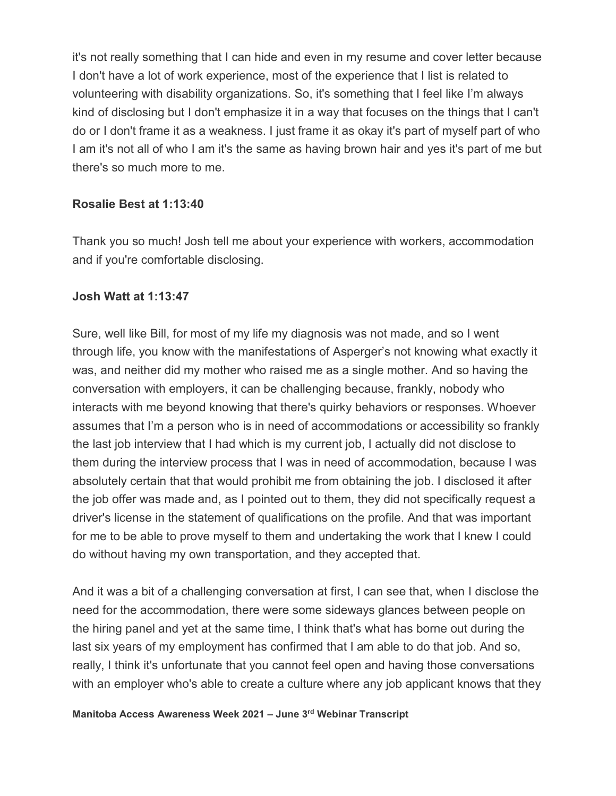it's not really something that I can hide and even in my resume and cover letter because I don't have a lot of work experience, most of the experience that I list is related to volunteering with disability organizations. So, it's something that I feel like I'm always kind of disclosing but I don't emphasize it in a way that focuses on the things that I can't do or I don't frame it as a weakness. I just frame it as okay it's part of myself part of who I am it's not all of who I am it's the same as having brown hair and yes it's part of me but there's so much more to me.

#### **Rosalie Best at 1:13:40**

Thank you so much! Josh tell me about your experience with workers, accommodation and if you're comfortable disclosing.

#### **Josh Watt at 1:13:47**

Sure, well like Bill, for most of my life my diagnosis was not made, and so I went through life, you know with the manifestations of Asperger's not knowing what exactly it was, and neither did my mother who raised me as a single mother. And so having the conversation with employers, it can be challenging because, frankly, nobody who interacts with me beyond knowing that there's quirky behaviors or responses. Whoever assumes that I'm a person who is in need of accommodations or accessibility so frankly the last job interview that I had which is my current job, I actually did not disclose to them during the interview process that I was in need of accommodation, because I was absolutely certain that that would prohibit me from obtaining the job. I disclosed it after the job offer was made and, as I pointed out to them, they did not specifically request a driver's license in the statement of qualifications on the profile. And that was important for me to be able to prove myself to them and undertaking the work that I knew I could do without having my own transportation, and they accepted that.

And it was a bit of a challenging conversation at first, I can see that, when I disclose the need for the accommodation, there were some sideways glances between people on the hiring panel and yet at the same time, I think that's what has borne out during the last six years of my employment has confirmed that I am able to do that job. And so, really, I think it's unfortunate that you cannot feel open and having those conversations with an employer who's able to create a culture where any job applicant knows that they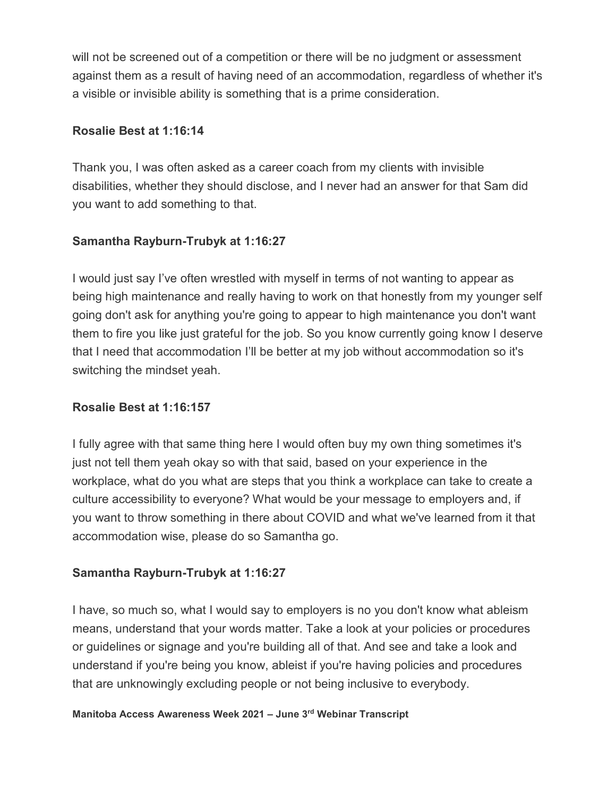will not be screened out of a competition or there will be no judgment or assessment against them as a result of having need of an accommodation, regardless of whether it's a visible or invisible ability is something that is a prime consideration.

## **Rosalie Best at 1:16:14**

Thank you, I was often asked as a career coach from my clients with invisible disabilities, whether they should disclose, and I never had an answer for that Sam did you want to add something to that.

## **Samantha Rayburn-Trubyk at 1:16:27**

I would just say I've often wrestled with myself in terms of not wanting to appear as being high maintenance and really having to work on that honestly from my younger self going don't ask for anything you're going to appear to high maintenance you don't want them to fire you like just grateful for the job. So you know currently going know I deserve that I need that accommodation I'll be better at my job without accommodation so it's switching the mindset yeah.

## **Rosalie Best at 1:16:157**

I fully agree with that same thing here I would often buy my own thing sometimes it's just not tell them yeah okay so with that said, based on your experience in the workplace, what do you what are steps that you think a workplace can take to create a culture accessibility to everyone? What would be your message to employers and, if you want to throw something in there about COVID and what we've learned from it that accommodation wise, please do so Samantha go.

## **Samantha Rayburn-Trubyk at 1:16:27**

I have, so much so, what I would say to employers is no you don't know what ableism means, understand that your words matter. Take a look at your policies or procedures or guidelines or signage and you're building all of that. And see and take a look and understand if you're being you know, ableist if you're having policies and procedures that are unknowingly excluding people or not being inclusive to everybody.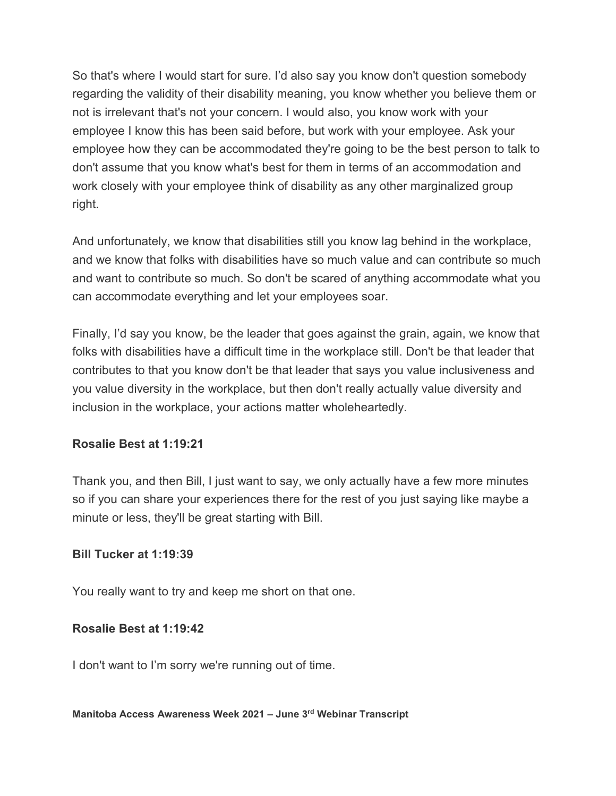So that's where I would start for sure. I'd also say you know don't question somebody regarding the validity of their disability meaning, you know whether you believe them or not is irrelevant that's not your concern. I would also, you know work with your employee I know this has been said before, but work with your employee. Ask your employee how they can be accommodated they're going to be the best person to talk to don't assume that you know what's best for them in terms of an accommodation and work closely with your employee think of disability as any other marginalized group right.

And unfortunately, we know that disabilities still you know lag behind in the workplace, and we know that folks with disabilities have so much value and can contribute so much and want to contribute so much. So don't be scared of anything accommodate what you can accommodate everything and let your employees soar.

Finally, I'd say you know, be the leader that goes against the grain, again, we know that folks with disabilities have a difficult time in the workplace still. Don't be that leader that contributes to that you know don't be that leader that says you value inclusiveness and you value diversity in the workplace, but then don't really actually value diversity and inclusion in the workplace, your actions matter wholeheartedly.

#### **Rosalie Best at 1:19:21**

Thank you, and then Bill, I just want to say, we only actually have a few more minutes so if you can share your experiences there for the rest of you just saying like maybe a minute or less, they'll be great starting with Bill.

#### **Bill Tucker at 1:19:39**

You really want to try and keep me short on that one.

#### **Rosalie Best at 1:19:42**

I don't want to I'm sorry we're running out of time.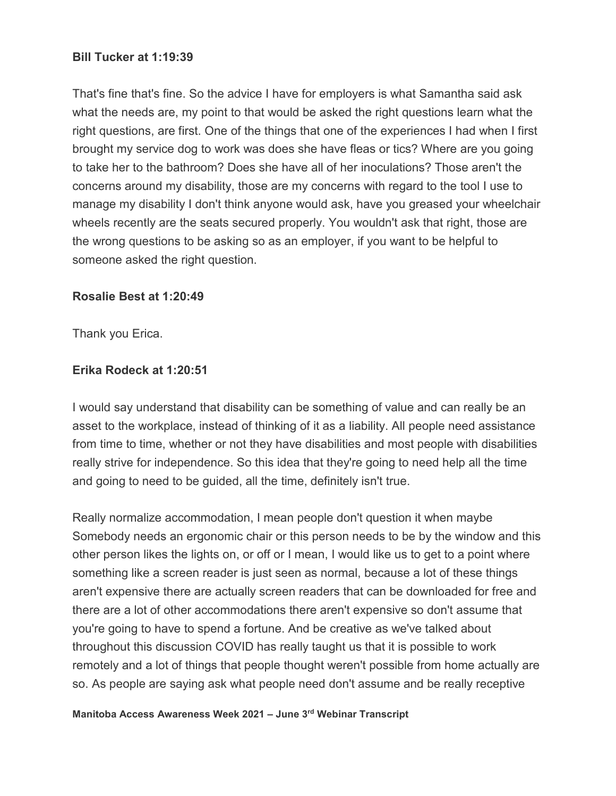#### **Bill Tucker at 1:19:39**

That's fine that's fine. So the advice I have for employers is what Samantha said ask what the needs are, my point to that would be asked the right questions learn what the right questions, are first. One of the things that one of the experiences I had when I first brought my service dog to work was does she have fleas or tics? Where are you going to take her to the bathroom? Does she have all of her inoculations? Those aren't the concerns around my disability, those are my concerns with regard to the tool I use to manage my disability I don't think anyone would ask, have you greased your wheelchair wheels recently are the seats secured properly. You wouldn't ask that right, those are the wrong questions to be asking so as an employer, if you want to be helpful to someone asked the right question.

#### **Rosalie Best at 1:20:49**

Thank you Erica.

#### **Erika Rodeck at 1:20:51**

I would say understand that disability can be something of value and can really be an asset to the workplace, instead of thinking of it as a liability. All people need assistance from time to time, whether or not they have disabilities and most people with disabilities really strive for independence. So this idea that they're going to need help all the time and going to need to be guided, all the time, definitely isn't true.

Really normalize accommodation, I mean people don't question it when maybe Somebody needs an ergonomic chair or this person needs to be by the window and this other person likes the lights on, or off or I mean, I would like us to get to a point where something like a screen reader is just seen as normal, because a lot of these things aren't expensive there are actually screen readers that can be downloaded for free and there are a lot of other accommodations there aren't expensive so don't assume that you're going to have to spend a fortune. And be creative as we've talked about throughout this discussion COVID has really taught us that it is possible to work remotely and a lot of things that people thought weren't possible from home actually are so. As people are saying ask what people need don't assume and be really receptive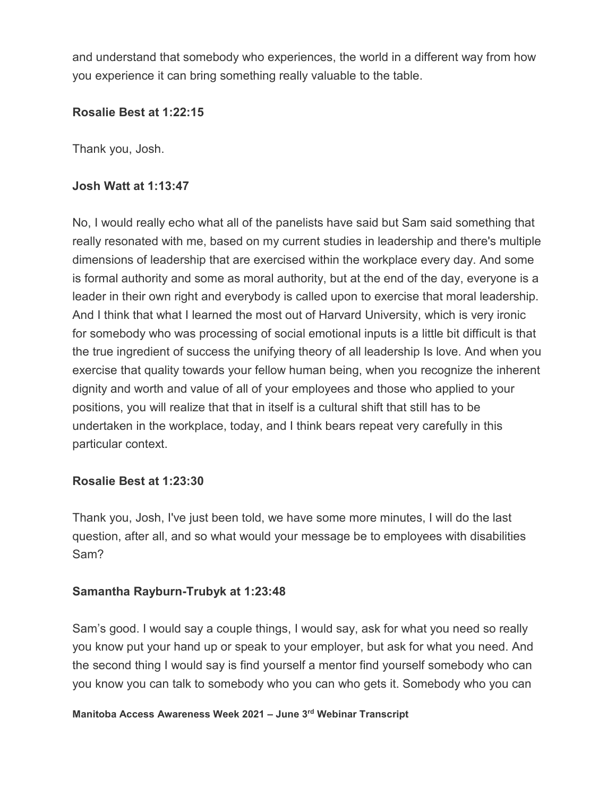and understand that somebody who experiences, the world in a different way from how you experience it can bring something really valuable to the table.

#### **Rosalie Best at 1:22:15**

Thank you, Josh.

#### **Josh Watt at 1:13:47**

No, I would really echo what all of the panelists have said but Sam said something that really resonated with me, based on my current studies in leadership and there's multiple dimensions of leadership that are exercised within the workplace every day. And some is formal authority and some as moral authority, but at the end of the day, everyone is a leader in their own right and everybody is called upon to exercise that moral leadership. And I think that what I learned the most out of Harvard University, which is very ironic for somebody who was processing of social emotional inputs is a little bit difficult is that the true ingredient of success the unifying theory of all leadership Is love. And when you exercise that quality towards your fellow human being, when you recognize the inherent dignity and worth and value of all of your employees and those who applied to your positions, you will realize that that in itself is a cultural shift that still has to be undertaken in the workplace, today, and I think bears repeat very carefully in this particular context.

#### **Rosalie Best at 1:23:30**

Thank you, Josh, I've just been told, we have some more minutes, I will do the last question, after all, and so what would your message be to employees with disabilities Sam?

#### **Samantha Rayburn-Trubyk at 1:23:48**

Sam's good. I would say a couple things, I would say, ask for what you need so really you know put your hand up or speak to your employer, but ask for what you need. And the second thing I would say is find yourself a mentor find yourself somebody who can you know you can talk to somebody who you can who gets it. Somebody who you can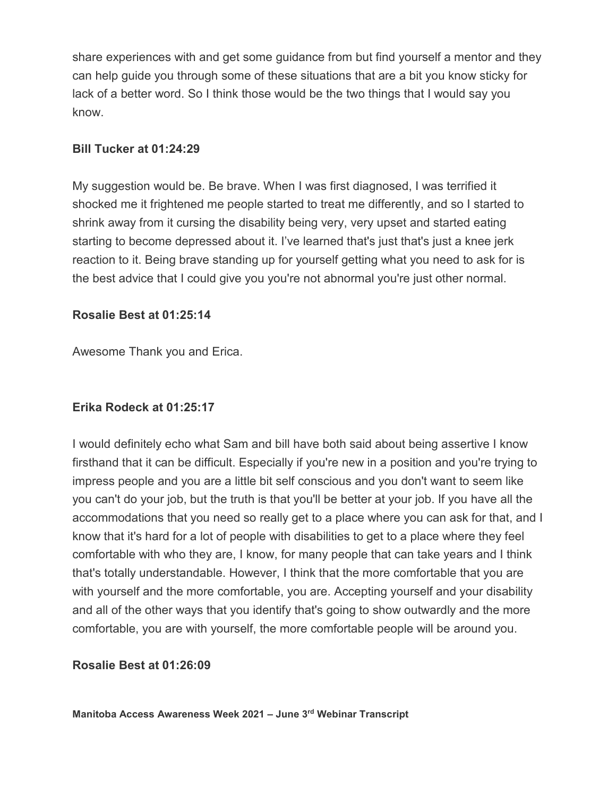share experiences with and get some guidance from but find yourself a mentor and they can help guide you through some of these situations that are a bit you know sticky for lack of a better word. So I think those would be the two things that I would say you know.

#### **Bill Tucker at 01:24:29**

My suggestion would be. Be brave. When I was first diagnosed, I was terrified it shocked me it frightened me people started to treat me differently, and so I started to shrink away from it cursing the disability being very, very upset and started eating starting to become depressed about it. I've learned that's just that's just a knee jerk reaction to it. Being brave standing up for yourself getting what you need to ask for is the best advice that I could give you you're not abnormal you're just other normal.

#### **Rosalie Best at 01:25:14**

Awesome Thank you and Erica.

## **Erika Rodeck at 01:25:17**

I would definitely echo what Sam and bill have both said about being assertive I know firsthand that it can be difficult. Especially if you're new in a position and you're trying to impress people and you are a little bit self conscious and you don't want to seem like you can't do your job, but the truth is that you'll be better at your job. If you have all the accommodations that you need so really get to a place where you can ask for that, and I know that it's hard for a lot of people with disabilities to get to a place where they feel comfortable with who they are, I know, for many people that can take years and I think that's totally understandable. However, I think that the more comfortable that you are with yourself and the more comfortable, you are. Accepting yourself and your disability and all of the other ways that you identify that's going to show outwardly and the more comfortable, you are with yourself, the more comfortable people will be around you.

#### **Rosalie Best at 01:26:09**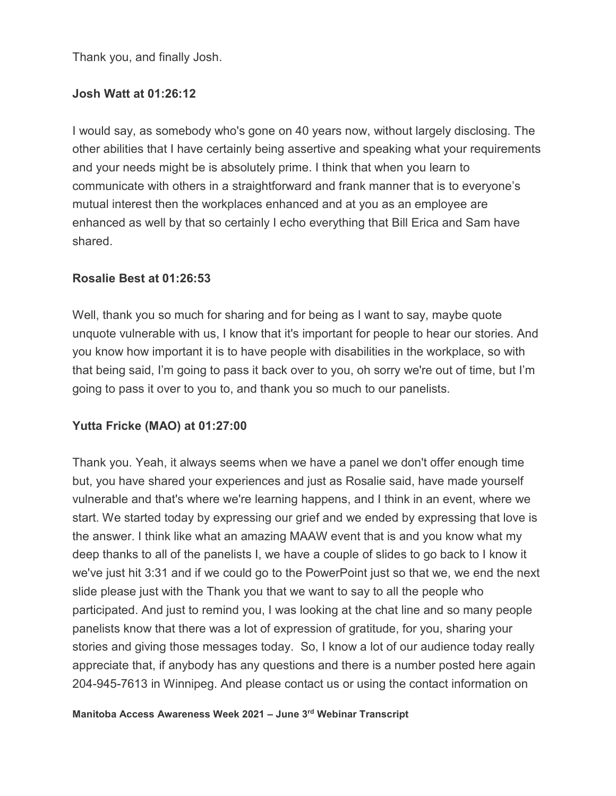Thank you, and finally Josh.

#### **Josh Watt at 01:26:12**

I would say, as somebody who's gone on 40 years now, without largely disclosing. The other abilities that I have certainly being assertive and speaking what your requirements and your needs might be is absolutely prime. I think that when you learn to communicate with others in a straightforward and frank manner that is to everyone's mutual interest then the workplaces enhanced and at you as an employee are enhanced as well by that so certainly I echo everything that Bill Erica and Sam have shared.

#### **Rosalie Best at 01:26:53**

Well, thank you so much for sharing and for being as I want to say, maybe quote unquote vulnerable with us, I know that it's important for people to hear our stories. And you know how important it is to have people with disabilities in the workplace, so with that being said, I'm going to pass it back over to you, oh sorry we're out of time, but I'm going to pass it over to you to, and thank you so much to our panelists.

## **Yutta Fricke (MAO) at 01:27:00**

Thank you. Yeah, it always seems when we have a panel we don't offer enough time but, you have shared your experiences and just as Rosalie said, have made yourself vulnerable and that's where we're learning happens, and I think in an event, where we start. We started today by expressing our grief and we ended by expressing that love is the answer. I think like what an amazing MAAW event that is and you know what my deep thanks to all of the panelists I, we have a couple of slides to go back to I know it we've just hit 3:31 and if we could go to the PowerPoint just so that we, we end the next slide please just with the Thank you that we want to say to all the people who participated. And just to remind you, I was looking at the chat line and so many people panelists know that there was a lot of expression of gratitude, for you, sharing your stories and giving those messages today. So, I know a lot of our audience today really appreciate that, if anybody has any questions and there is a number posted here again 204-945-7613 in Winnipeg. And please contact us or using the contact information on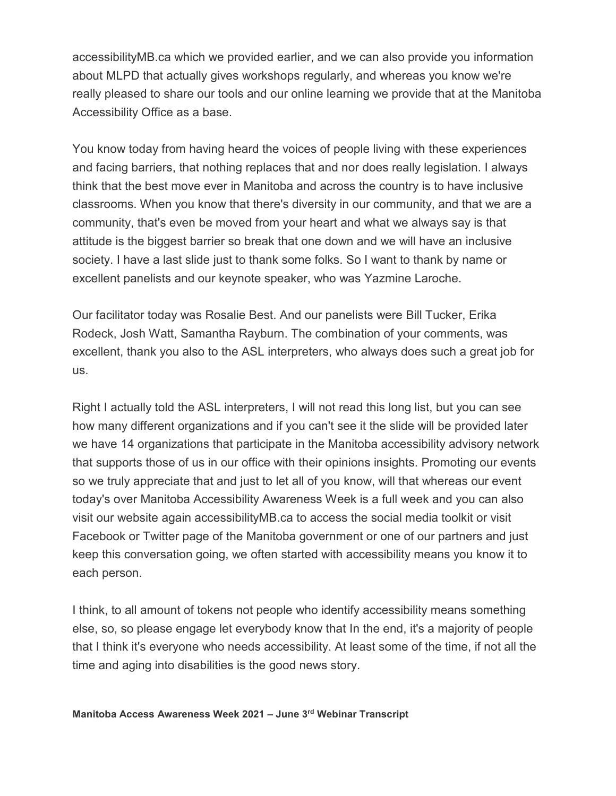accessibilityMB.ca which we provided earlier, and we can also provide you information about MLPD that actually gives workshops regularly, and whereas you know we're really pleased to share our tools and our online learning we provide that at the Manitoba Accessibility Office as a base.

You know today from having heard the voices of people living with these experiences and facing barriers, that nothing replaces that and nor does really legislation. I always think that the best move ever in Manitoba and across the country is to have inclusive classrooms. When you know that there's diversity in our community, and that we are a community, that's even be moved from your heart and what we always say is that attitude is the biggest barrier so break that one down and we will have an inclusive society. I have a last slide just to thank some folks. So I want to thank by name or excellent panelists and our keynote speaker, who was Yazmine Laroche.

Our facilitator today was Rosalie Best. And our panelists were Bill Tucker, Erika Rodeck, Josh Watt, Samantha Rayburn. The combination of your comments, was excellent, thank you also to the ASL interpreters, who always does such a great job for us.

Right I actually told the ASL interpreters, I will not read this long list, but you can see how many different organizations and if you can't see it the slide will be provided later we have 14 organizations that participate in the Manitoba accessibility advisory network that supports those of us in our office with their opinions insights. Promoting our events so we truly appreciate that and just to let all of you know, will that whereas our event today's over Manitoba Accessibility Awareness Week is a full week and you can also visit our website again accessibilityMB.ca to access the social media toolkit or visit Facebook or Twitter page of the Manitoba government or one of our partners and just keep this conversation going, we often started with accessibility means you know it to each person.

I think, to all amount of tokens not people who identify accessibility means something else, so, so please engage let everybody know that In the end, it's a majority of people that I think it's everyone who needs accessibility. At least some of the time, if not all the time and aging into disabilities is the good news story.